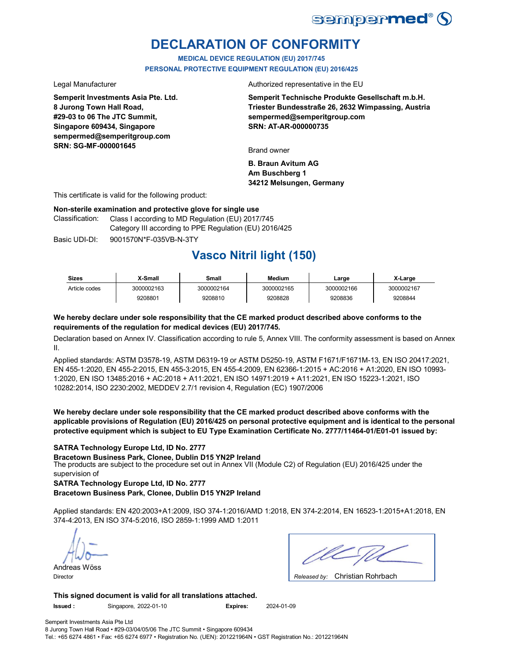

# **DECLARATION OF CONFORMITY**

**MEDICAL DEVICE REGULATION (EU) 2017/745 PERSONAL PROTECTIVE EQUIPMENT REGULATION (EU) 2016/425**

**Semperit Investments Asia Pte. Ltd. 8 Jurong Town Hall Road, #29-03 to 06 The JTC Summit, Singapore 609434, Singapore sempermed@semperitgroup.com SRN: SG-MF-000001645**

Legal Manufacturer **Authorized** representative in the EU

**Semperit Technische Produkte Gesellschaft m.b.H. Triester Bundesstraße 26, 2632 Wimpassing, Austria sempermed@semperitgroup.com SRN: AT-AR-000000735**

Brand owner

**B. Braun Avitum AG Am Buschberg 1 34212 Melsungen, Germany**

This certificate is valid for the following product:

### **Non-sterile examination and protective glove for single use**

Classification: Class I according to MD Regulation (EU) 2017/745 Category III according to PPE Regulation (EU) 2016/425

Basic UDI-DI: 9001570N\*F-035VB-N-3TY

# **Vasco Nitril light (150)**

| <b>Sizes</b>  | X-Small    | Small      | Medium     | Large      | X-Large    |
|---------------|------------|------------|------------|------------|------------|
| Article codes | 3000002163 | 3000002164 | 3000002165 | 3000002166 | 3000002167 |
|               | 9208801    | 9208810    | 9208828    | 9208836    | 9208844    |

### **We hereby declare under sole responsibility that the CE marked product described above conforms to the requirements of the regulation for medical devices (EU) 2017/745.**

Declaration based on Annex IV. Classification according to rule 5, Annex VIII. The conformity assessment is based on Annex II.

Applied standards: ASTM D3578-19, ASTM D6319-19 or ASTM D5250-19, ASTM F1671/F1671M-13, EN ISO 20417:2021, EN 455-1:2020, EN 455-2:2015, EN 455-3:2015, EN 455-4:2009, EN 62366-1:2015 + AC:2016 + A1:2020, EN ISO 10993- 1:2020, EN ISO 13485:2016 + AC:2018 + A11:2021, EN ISO 14971:2019 + A11:2021, EN ISO 15223-1:2021, ISO 10282:2014, ISO 2230:2002, MEDDEV 2.7/1 revision 4, Regulation (EC) 1907/2006

**We hereby declare under sole responsibility that the CE marked product described above conforms with the applicable provisions of Regulation (EU) 2016/425 on personal protective equipment and is identical to the personal protective equipment which is subject to EU Type Examination Certificate No. 2777/11464-01/E01-01 issued by:**

### **SATRA Technology Europe Ltd, ID No. 2777**

The products are subject to the procedure set out in Annex VII (Module C2) of Regulation (EU) 2016/425 under the supervision of **Bracetown Business Park, Clonee, Dublin D15 YN2P Ireland**

**SATRA Technology Europe Ltd, ID No. 2777**

**Bracetown Business Park, Clonee, Dublin D15 YN2P Ireland**

Applied standards: EN 420:2003+A1:2009, ISO 374-1:2016/AMD 1:2018, EN 374-2:2014, EN 16523-1:2015+A1:2018, EN 374-4:2013, EN ISO 374-5:2016, ISO 2859-1:1999 AMD 1:2011

Andreas Wöss

Christian Rohrbach Director *Released by:* 

**This signed document is valid for all translations attached. Issued :** Singapore, 2022-01-10 **Expires:** 2024-01-09

Semperit Investments Asia Pte Ltd 8 Jurong Town Hall Road • #29-03/04/05/06 The JTC Summit • Singapore 609434 Tel.: +65 6274 4861 • Fax: +65 6274 6977 • Registration No. (UEN): 201221964N • GST Registration No.: 201221964N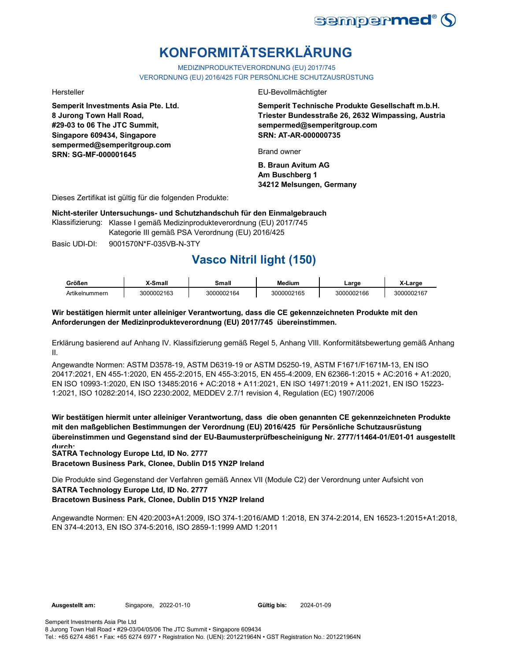

# **KONFORMITÄTSERKLÄRUNG**

MEDIZINPRODUKTEVERORDNUNG (EU) 2017/745

VERORDNUNG (EU) 2016/425 FÜR PERSÖNLICHE SCHUTZAUSRÜSTUNG

**Semperit Investments Asia Pte. Ltd. 8 Jurong Town Hall Road, #29-03 to 06 The JTC Summit, Singapore 609434, Singapore sempermed@semperitgroup.com SRN: SG-MF-000001645**

Hersteller EU-Bevollmächtigter

**Semperit Technische Produkte Gesellschaft m.b.H. Triester Bundesstraße 26, 2632 Wimpassing, Austria sempermed@semperitgroup.com SRN: AT-AR-000000735**

Brand owner

**B. Braun Avitum AG Am Buschberg 1 34212 Melsungen, Germany**

Dieses Zertifikat ist gültig für die folgenden Produkte:

**Nicht-steriler Untersuchungs- und Schutzhandschuh für den Einmalgebrauch**

Klassifizierung: Klasse I gemäß Medizinprodukteverordnung (EU) 2017/745 Kategorie III gemäß PSA Verordnung (EU) 2016/425

Basic UDI-DI: 9001570N\*F-035VB-N-3TY

# **Vasco Nitril light (150)**

| Größen         | X-Small    | Small      | Medium     | ∟arɑe      | ∡-Larɑe    |
|----------------|------------|------------|------------|------------|------------|
| Artikelnummern | 3000002163 | 3000002164 | 3000002165 | 3000002166 | 3000002167 |

### **Wir bestätigen hiermit unter alleiniger Verantwortung, dass die CE gekennzeichneten Produkte mit den Anforderungen der Medizinprodukteverordnung (EU) 2017/745 übereinstimmen.**

Erklärung basierend auf Anhang IV. Klassifizierung gemäß Regel 5, Anhang VIII. Konformitätsbewertung gemäß Anhang II.

Angewandte Normen: ASTM D3578-19, ASTM D6319-19 or ASTM D5250-19, ASTM F1671/F1671M-13, EN ISO 20417:2021, EN 455-1:2020, EN 455-2:2015, EN 455-3:2015, EN 455-4:2009, EN 62366-1:2015 + AC:2016 + A1:2020, EN ISO 10993-1:2020, EN ISO 13485:2016 + AC:2018 + A11:2021, EN ISO 14971:2019 + A11:2021, EN ISO 15223- 1:2021, ISO 10282:2014, ISO 2230:2002, MEDDEV 2.7/1 revision 4, Regulation (EC) 1907/2006

**Wir bestätigen hiermit unter alleiniger Verantwortung, dass die oben genannten CE gekennzeichneten Produkte mit den maßgeblichen Bestimmungen der Verordnung (EU) 2016/425 für Persönliche Schutzausrüstung übereinstimmen und Gegenstand sind der EU-Baumusterprüfbescheinigung Nr. 2777/11464-01/E01-01 ausgestellt durch:**

**SATRA Technology Europe Ltd, ID No. 2777**

**Bracetown Business Park, Clonee, Dublin D15 YN2P Ireland**

**SATRA Technology Europe Ltd, ID No. 2777 Bracetown Business Park, Clonee, Dublin D15 YN2P Ireland** Die Produkte sind Gegenstand der Verfahren gemäß Annex VII (Module C2) der Verordnung unter Aufsicht von

Angewandte Normen: EN 420:2003+A1:2009, ISO 374-1:2016/AMD 1:2018, EN 374-2:2014, EN 16523-1:2015+A1:2018, EN 374-4:2013, EN ISO 374-5:2016, ISO 2859-1:1999 AMD 1:2011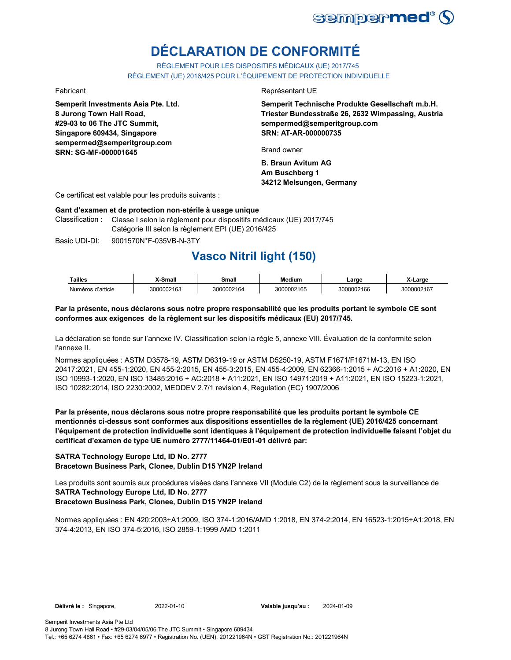

# **DÉCLARATION DE CONFORMITÉ**

RÈGLEMENT POUR LES DISPOSITIFS MÉDICAUX (UE) 2017/745 RÈGLEMENT (UE) 2016/425 POUR L'ÉQUIPEMENT DE PROTECTION INDIVIDUELLE

**Semperit Investments Asia Pte. Ltd. 8 Jurong Town Hall Road, #29-03 to 06 The JTC Summit, Singapore 609434, Singapore sempermed@semperitgroup.com SRN: SG-MF-000001645**

### Fabricant **Exercise Exercise Exercise Exercise Exercise Exercise Exercise Exercise Exercise Exercise Exercise**

**Semperit Technische Produkte Gesellschaft m.b.H. Triester Bundesstraße 26, 2632 Wimpassing, Austria sempermed@semperitgroup.com SRN: AT-AR-000000735**

Brand owner

**B. Braun Avitum AG Am Buschberg 1 34212 Melsungen, Germany**

Ce certificat est valable pour les produits suivants :

### **Gant d'examen et de protection non-stérile à usage unique**

Classification : Classe I selon la règlement pour dispositifs médicaux (UE) 2017/745 Catégorie III selon la règlement EPI (UE) 2016/425

Basic UDI-DI: 9001570N\*F-035VB-N-3TY 9001570N\*F-035VB-N

## **Vasco Nitril light (150)**

| <b>Tailles</b>    | X-Small    | Small      | Medium     | Large      | X-Large    |
|-------------------|------------|------------|------------|------------|------------|
| Numéros d'article | 3000002163 | 3000002164 | 3000002165 | 3000002166 | 3000002167 |

### **Par la présente, nous déclarons sous notre propre responsabilité que les produits portant le symbole CE sont conformes aux exigences de la règlement sur les dispositifs médicaux (EU) 2017/745.**

La déclaration se fonde sur l'annexe IV. Classification selon la règle 5, annexe VIII. Évaluation de la conformité selon l'annexe II.

Normes appliquées : ASTM D3578-19, ASTM D6319-19 or ASTM D5250-19, ASTM F1671/F1671M-13, EN ISO 20417:2021, EN 455-1:2020, EN 455-2:2015, EN 455-3:2015, EN 455-4:2009, EN 62366-1:2015 + AC:2016 + A1:2020, EN ISO 10993-1:2020, EN ISO 13485:2016 + AC:2018 + A11:2021, EN ISO 14971:2019 + A11:2021, EN ISO 15223-1:2021, ISO 10282:2014, ISO 2230:2002, MEDDEV 2.7/1 revision 4, Regulation (EC) 1907/2006

**Par la présente, nous déclarons sous notre propre responsabilité que les produits portant le symbole CE mentionnés ci-dessus sont conformes aux dispositions essentielles de la règlement (UE) 2016/425 concernant l'équipement de protection individuelle sont identiques à l'équipement de protection individuelle faisant l'objet du certificat d'examen de type UE numéro 2777/11464-01/E01-01 délivré par:**

### **SATRA Technology Europe Ltd, ID No. 2777**

**Bracetown Business Park, Clonee, Dublin D15 YN2P Ireland**

**SATRA Technology Europe Ltd, ID No. 2777** Les produits sont soumis aux procédures visées dans l'annexe VII (Module C2) de la règlement sous la surveillance de

### **Bracetown Business Park, Clonee, Dublin D15 YN2P Ireland**

Normes appliquées : EN 420:2003+A1:2009, ISO 374-1:2016/AMD 1:2018, EN 374-2:2014, EN 16523-1:2015+A1:2018, EN 374-4:2013, EN ISO 374-5:2016, ISO 2859-1:1999 AMD 1:2011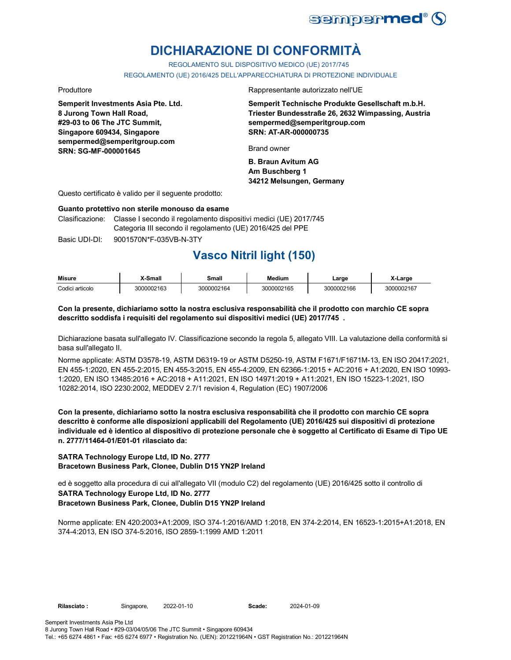

# **DICHIARAZIONE DI CONFORMITÀ**

REGOLAMENTO SUL DISPOSITIVO MEDICO (UE) 2017/745

REGOLAMENTO (UE) 2016/425 DELL'APPARECCHIATURA DI PROTEZIONE INDIVIDUALE

**Semperit Investments Asia Pte. Ltd. 8 Jurong Town Hall Road, #29-03 to 06 The JTC Summit, Singapore 609434, Singapore sempermed@semperitgroup.com SRN: SG-MF-000001645**

Produttore **Rappresentante autorizzato nell'UE** 

**Semperit Technische Produkte Gesellschaft m.b.H. Triester Bundesstraße 26, 2632 Wimpassing, Austria sempermed@semperitgroup.com SRN: AT-AR-000000735**

Brand owner

**B. Braun Avitum AG Am Buschberg 1 34212 Melsungen, Germany**

Questo certificato è valido per il seguente prodotto:

### **Guanto protettivo non sterile monouso da esame**

Clasificazione: Classe I secondo il regolamento dispositivi medici (UE) 2017/745 Categoria III secondo il regolamento (UE) 2016/425 del PPE

Basic UDI-DI: 9001570N\*F-035VB-N-3TY

# **Vasco Nitril light (150)**

| <b>Misure</b>   | X-Small    | Small      | Medium     | ∟arɑe      | X-Large    |
|-----------------|------------|------------|------------|------------|------------|
| Codici articolo | 3000002163 | 3000002164 | 3000002165 | 3000002166 | 3000002167 |

### **Con la presente, dichiariamo sotto la nostra esclusiva responsabilità che il prodotto con marchio CE sopra descritto soddisfa i requisiti del regolamento sui dispositivi medici (UE) 2017/745 .**

Dichiarazione basata sull'allegato IV. Classificazione secondo la regola 5, allegato VIII. La valutazione della conformità si basa sull'allegato II.

Norme applicate: ASTM D3578-19, ASTM D6319-19 or ASTM D5250-19, ASTM F1671/F1671M-13, EN ISO 20417:2021, EN 455-1:2020, EN 455-2:2015, EN 455-3:2015, EN 455-4:2009, EN 62366-1:2015 + AC:2016 + A1:2020, EN ISO 10993- 1:2020, EN ISO 13485:2016 + AC:2018 + A11:2021, EN ISO 14971:2019 + A11:2021, EN ISO 15223-1:2021, ISO 10282:2014, ISO 2230:2002, MEDDEV 2.7/1 revision 4, Regulation (EC) 1907/2006

**Con la presente, dichiariamo sotto la nostra esclusiva responsabilità che il prodotto con marchio CE sopra descritto è conforme alle disposizioni applicabili del Regolamento (UE) 2016/425 sui dispositivi di protezione individuale ed è identico al dispositivo di protezione personale che è soggetto al Certificato di Esame di Tipo UE n. 2777/11464-01/E01-01 rilasciato da:**

### **SATRA Technology Europe Ltd, ID No. 2777 Bracetown Business Park, Clonee, Dublin D15 YN2P Ireland**

**SATRA Technology Europe Ltd, ID No. 2777 Bracetown Business Park, Clonee, Dublin D15 YN2P Ireland** ed è soggetto alla procedura di cui all'allegato VII (modulo C2) del regolamento (UE) 2016/425 sotto il controllo di

Norme applicate: EN 420:2003+A1:2009, ISO 374-1:2016/AMD 1:2018, EN 374-2:2014, EN 16523-1:2015+A1:2018, EN 374-4:2013, EN ISO 374-5:2016, ISO 2859-1:1999 AMD 1:2011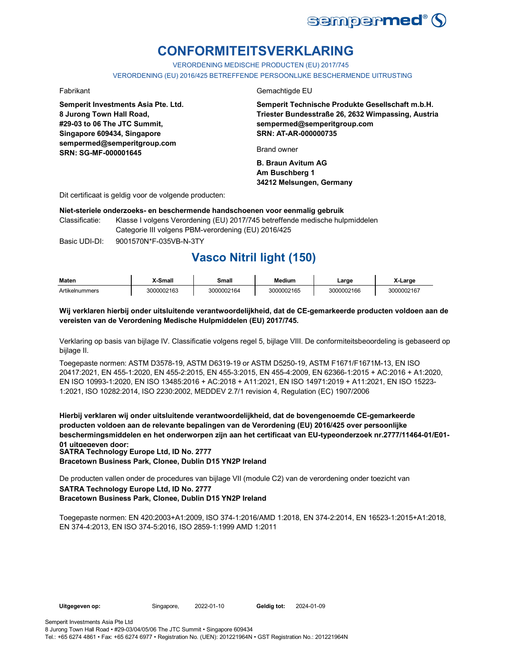

# **CONFORMITEITSVERKLARING**

VERORDENING MEDISCHE PRODUCTEN (EU) 2017/745

VERORDENING (EU) 2016/425 BETREFFENDE PERSOONLIJKE BESCHERMENDE UITRUSTING

**Semperit Investments Asia Pte. Ltd. 8 Jurong Town Hall Road, #29-03 to 06 The JTC Summit, Singapore 609434, Singapore sempermed@semperitgroup.com SRN: SG-MF-000001645**

### Fabrikant Gemachtigde EU

**Semperit Technische Produkte Gesellschaft m.b.H. Triester Bundesstraße 26, 2632 Wimpassing, Austria sempermed@semperitgroup.com SRN: AT-AR-000000735**

Brand owner

**B. Braun Avitum AG Am Buschberg 1 34212 Melsungen, Germany**

Dit certificaat is geldig voor de volgende producten:

### **Niet-steriele onderzoeks- en beschermende handschoenen voor eenmalig gebruik**

Classificatie: Klasse I volgens Verordening (EU) 2017/745 betreffende medische hulpmiddelen Categorie III volgens PBM-verordening (EU) 2016/425

Basic UDI-DI: 9001570N\*F-035VB-N-3TY 9001570N\*F-035VB-N-3

# **Vasco Nitril light (150)**

| <b>Maten</b>   | <b>Y-Small</b> | Small      | <b>Medium</b> | Large      | X-Large    |
|----------------|----------------|------------|---------------|------------|------------|
| Artikelnummers | 3000002163     | 3000002164 | 3000002165    | 3000002166 | 3000002167 |

### **Wij verklaren hierbij onder uitsluitende verantwoordelijkheid, dat de CE-gemarkeerde producten voldoen aan de vereisten van de Verordening Medische Hulpmiddelen (EU) 2017/745.**

Verklaring op basis van bijlage IV. Classificatie volgens regel 5, bijlage VIII. De conformiteitsbeoordeling is gebaseerd op bijlage II.

Toegepaste normen: ASTM D3578-19, ASTM D6319-19 or ASTM D5250-19, ASTM F1671/F1671M-13, EN ISO 20417:2021, EN 455-1:2020, EN 455-2:2015, EN 455-3:2015, EN 455-4:2009, EN 62366-1:2015 + AC:2016 + A1:2020, EN ISO 10993-1:2020, EN ISO 13485:2016 + AC:2018 + A11:2021, EN ISO 14971:2019 + A11:2021, EN ISO 15223- 1:2021, ISO 10282:2014, ISO 2230:2002, MEDDEV 2.7/1 revision 4, Regulation (EC) 1907/2006

**Hierbij verklaren wij onder uitsluitende verantwoordelijkheid, dat de bovengenoemde CE-gemarkeerde producten voldoen aan de relevante bepalingen van de Verordening (EU) 2016/425 over persoonlijke beschermingsmiddelen en het onderworpen zijn aan het certificaat van EU-typeonderzoek nr.2777/11464-01/E01- 01 uitgegeven door: SATRA Technology Europe Ltd, ID No. 2777**

**Bracetown Business Park, Clonee, Dublin D15 YN2P Ireland**

**SATRA Technology Europe Ltd, ID No. 2777 Bracetown Business Park, Clonee, Dublin D15 YN2P Ireland** De producten vallen onder de procedures van bijlage VII (module C2) van de verordening onder toezicht van

Toegepaste normen: EN 420:2003+A1:2009, ISO 374-1:2016/AMD 1:2018, EN 374-2:2014, EN 16523-1:2015+A1:2018, EN 374-4:2013, EN ISO 374-5:2016, ISO 2859-1:1999 AMD 1:2011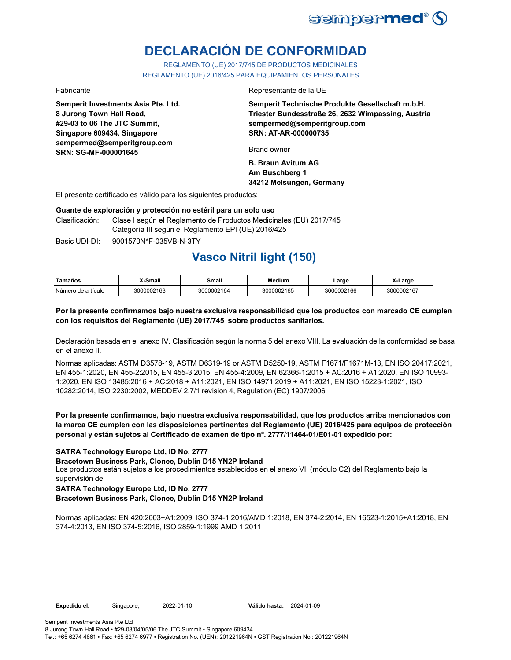

# **DECLARACIÓN DE CONFORMIDAD**

REGLAMENTO (UE) 2017/745 DE PRODUCTOS MEDICINALES REGLAMENTO (UE) 2016/425 PARA EQUIPAMIENTOS PERSONALES

**Semperit Investments Asia Pte. Ltd. 8 Jurong Town Hall Road, #29-03 to 06 The JTC Summit, Singapore 609434, Singapore sempermed@semperitgroup.com SRN: SG-MF-000001645**

### Fabricante Representante de la UE

**Semperit Technische Produkte Gesellschaft m.b.H. Triester Bundesstraße 26, 2632 Wimpassing, Austria sempermed@semperitgroup.com SRN: AT-AR-000000735**

Brand owner

**B. Braun Avitum AG Am Buschberg 1 34212 Melsungen, Germany**

El presente certificado es válido para los siguientes productos:

### **Guante de exploración y protección no estéril para un solo uso**

Clasificación: Clase I según el Reglamento de Productos Medicinales (EU) 2017/745 Categoría III según el Reglamento EPI (UE) 2016/425

Basic UDI-DI: 9001570N\*F-035VB-N-3TY 9001570N\*F-035VB-N-3T

## **Vasco Nitril light (150)**

| Tamaños            | <b>X-Small</b> | Small      | Medium     | ∟arɑe      | X-Large    |
|--------------------|----------------|------------|------------|------------|------------|
| Número de artículo | 3000002163     | 3000002164 | 3000002165 | 3000002166 | 3000002167 |

### **Por la presente confirmamos bajo nuestra exclusiva responsabilidad que los productos con marcado CE cumplen con los requisitos del Reglamento (UE) 2017/745 sobre productos sanitarios.**

Declaración basada en el anexo IV. Clasificación según la norma 5 del anexo VIII. La evaluación de la conformidad se basa en el anexo II.

Normas aplicadas: ASTM D3578-19, ASTM D6319-19 or ASTM D5250-19, ASTM F1671/F1671M-13, EN ISO 20417:2021, EN 455-1:2020, EN 455-2:2015, EN 455-3:2015, EN 455-4:2009, EN 62366-1:2015 + AC:2016 + A1:2020, EN ISO 10993- 1:2020, EN ISO 13485:2016 + AC:2018 + A11:2021, EN ISO 14971:2019 + A11:2021, EN ISO 15223-1:2021, ISO 10282:2014, ISO 2230:2002, MEDDEV 2.7/1 revision 4, Regulation (EC) 1907/2006

### **Por la presente confirmamos, bajo nuestra exclusiva responsabilidad, que los productos arriba mencionados con la marca CE cumplen con las disposiciones pertinentes del Reglamento (UE) 2016/425 para equipos de protección personal y están sujetos al Certificado de examen de tipo nº. 2777/11464-01/E01-01 expedido por:**

**SATRA Technology Europe Ltd, ID No. 2777**

**Bracetown Business Park, Clonee, Dublin D15 YN2P Ireland**

Los productos están sujetos a los procedimientos establecidos en el anexo VII (módulo C2) del Reglamento bajo la supervisión de

### **SATRA Technology Europe Ltd, ID No. 2777 Bracetown Business Park, Clonee, Dublin D15 YN2P Ireland**

Normas aplicadas: EN 420:2003+A1:2009, ISO 374-1:2016/AMD 1:2018, EN 374-2:2014, EN 16523-1:2015+A1:2018, EN 374-4:2013, EN ISO 374-5:2016, ISO 2859-1:1999 AMD 1:2011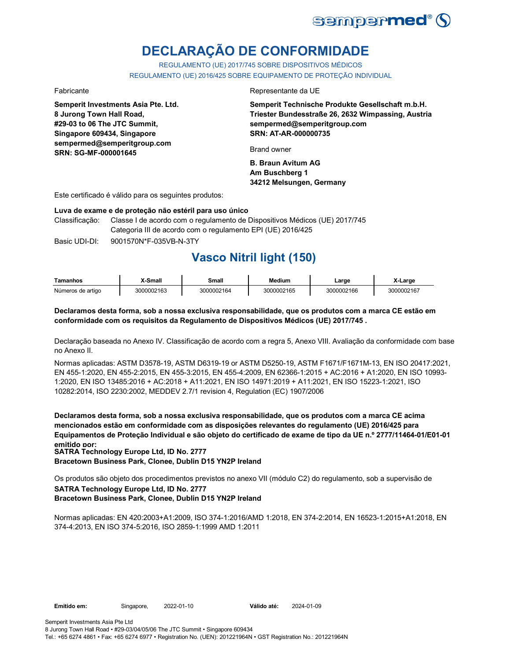

# **DECLARAÇÃO DE CONFORMIDADE**

REGULAMENTO (UE) 2017/745 SOBRE DISPOSITIVOS MÉDICOS REGULAMENTO (UE) 2016/425 SOBRE EQUIPAMENTO DE PROTEÇÃO INDIVIDUAL

**Semperit Investments Asia Pte. Ltd. 8 Jurong Town Hall Road, #29-03 to 06 The JTC Summit, Singapore 609434, Singapore sempermed@semperitgroup.com SRN: SG-MF-000001645**

### Fabricante Representante da UE

**Semperit Technische Produkte Gesellschaft m.b.H. Triester Bundesstraße 26, 2632 Wimpassing, Austria sempermed@semperitgroup.com SRN: AT-AR-000000735**

Brand owner

**B. Braun Avitum AG Am Buschberg 1 34212 Melsungen, Germany**

Este certificado é válido para os seguintes produtos:

### **Luva de exame e de proteção não estéril para uso único**

Classificação: Classe I de acordo com o regulamento de Dispositivos Médicos (UE) 2017/745 Categoria III de acordo com o regulamento EPI (UE) 2016/425

Basic UDI-DI: 9001570N\*F-035VB-N-3TY 9001570N\*F-035VB-N-3T

# **Vasco Nitril light (150)**

| Tamanhos          | X-Small    | Small      | Medium     | ∟arɑe      | X-Large    |
|-------------------|------------|------------|------------|------------|------------|
| Números de artigo | 3000002163 | 3000002164 | 3000002165 | 3000002166 | 3000002167 |

### **Declaramos desta forma, sob a nossa exclusiva responsabilidade, que os produtos com a marca CE estão em conformidade com os requisitos da Regulamento de Dispositivos Médicos (UE) 2017/745 .**

Declaração baseada no Anexo IV. Classificação de acordo com a regra 5, Anexo VIII. Avaliação da conformidade com base no Anexo II.

Normas aplicadas: ASTM D3578-19, ASTM D6319-19 or ASTM D5250-19, ASTM F1671/F1671M-13, EN ISO 20417:2021, EN 455-1:2020, EN 455-2:2015, EN 455-3:2015, EN 455-4:2009, EN 62366-1:2015 + AC:2016 + A1:2020, EN ISO 10993- 1:2020, EN ISO 13485:2016 + AC:2018 + A11:2021, EN ISO 14971:2019 + A11:2021, EN ISO 15223-1:2021, ISO 10282:2014, ISO 2230:2002, MEDDEV 2.7/1 revision 4, Regulation (EC) 1907/2006

**Declaramos desta forma, sob a nossa exclusiva responsabilidade, que os produtos com a marca CE acima mencionados estão em conformidade com as disposições relevantes do regulamento (UE) 2016/425 para Equipamentos de Proteção Individual e são objeto do certificado de exame de tipo da UE n.º 2777/11464-01/E01-01 emitido por: SATRA Technology Europe Ltd, ID No. 2777**

**Bracetown Business Park, Clonee, Dublin D15 YN2P Ireland**

**SATRA Technology Europe Ltd, ID No. 2777** Os produtos são objeto dos procedimentos previstos no anexo VII (módulo C2) do regulamento, sob a supervisão de

### **Bracetown Business Park, Clonee, Dublin D15 YN2P Ireland**

Normas aplicadas: EN 420:2003+A1:2009, ISO 374-1:2016/AMD 1:2018, EN 374-2:2014, EN 16523-1:2015+A1:2018, EN 374-4:2013, EN ISO 374-5:2016, ISO 2859-1:1999 AMD 1:2011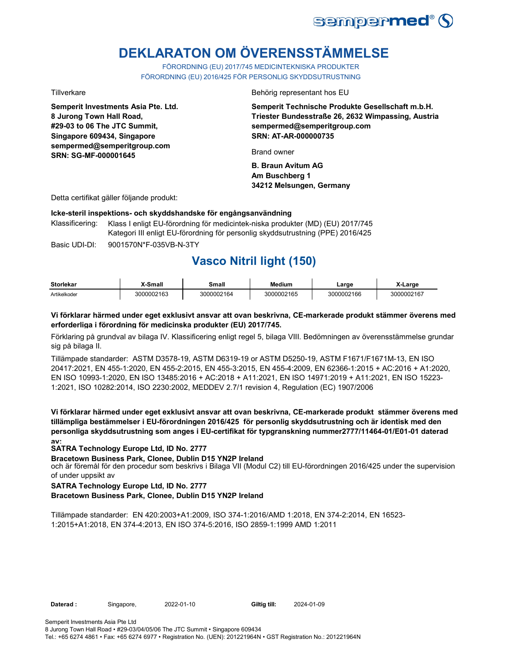

# **DEKLARATON OM ÖVERENSSTÄMMELSE**

FÖRORDNING (EU) 2017/745 MEDICINTEKNISKA PRODUKTER FÖRORDNING (EU) 2016/425 FÖR PERSONLIG SKYDDSUTRUSTNING

**Semperit Investments Asia Pte. Ltd. 8 Jurong Town Hall Road, #29-03 to 06 The JTC Summit, Singapore 609434, Singapore sempermed@semperitgroup.com SRN: SG-MF-000001645**

Tillverkare Behörig representant hos EU

**Semperit Technische Produkte Gesellschaft m.b.H. Triester Bundesstraße 26, 2632 Wimpassing, Austria sempermed@semperitgroup.com SRN: AT-AR-000000735**

Brand owner

**B. Braun Avitum AG Am Buschberg 1 34212 Melsungen, Germany**

Detta certifikat gäller följande produkt:

### **Icke-steril inspektions- och skyddshandske för engångsanvändning**

Basic UDI-DI: 9001570N\*F-035VB-N-3TY Klassificering: Klass I enligt EU-förordning för medicintek-niska produkter (MD) (EU) 2017/745 Kategori III enligt EU-förordning för personlig skyddsutrustning (PPE) 2016/425

**Vasco Nitril light (150)** 

| <b>Storlekar</b> | X-Small    | Small      | <b>Medium</b> | ∟arge      | X-Large    |
|------------------|------------|------------|---------------|------------|------------|
| Artikelkoder     | 3000002163 | 3000002164 | 3000002165    | 3000002166 | 3000002167 |

### **Vi förklarar härmed under eget exklusivt ansvar att ovan beskrivna, CE-markerade produkt stämmer överens med erforderliga i förordning för medicinska produkter (EU) 2017/745.**

Förklaring på grundval av bilaga IV. Klassificering enligt regel 5, bilaga VIII. Bedömningen av överensstämmelse grundar sig på bilaga II.

Tillämpade standarder: ASTM D3578-19, ASTM D6319-19 or ASTM D5250-19, ASTM F1671/F1671M-13, EN ISO 20417:2021, EN 455-1:2020, EN 455-2:2015, EN 455-3:2015, EN 455-4:2009, EN 62366-1:2015 + AC:2016 + A1:2020, EN ISO 10993-1:2020, EN ISO 13485:2016 + AC:2018 + A11:2021, EN ISO 14971:2019 + A11:2021, EN ISO 15223- 1:2021, ISO 10282:2014, ISO 2230:2002, MEDDEV 2.7/1 revision 4, Regulation (EC) 1907/2006

**Vi förklarar härmed under eget exklusivt ansvar att ovan beskrivna, CE-markerade produkt stämmer överens med tillämpliga bestämmelser i EU-förordningen 2016/425 för personlig skyddsutrustning och är identisk med den personliga skyddsutrustning som anges i EU-certifikat för typgranskning nummer2777/11464-01/E01-01 daterad av:**

### **SATRA Technology Europe Ltd, ID No. 2777**

**Bracetown Business Park, Clonee, Dublin D15 YN2P Ireland**

och är föremål för den procedur som beskrivs i Bilaga VII (Modul C2) till EU-förordningen 2016/425 under the supervision of under uppsikt av

### **SATRA Technology Europe Ltd, ID No. 2777**

### **Bracetown Business Park, Clonee, Dublin D15 YN2P Ireland**

Tillämpade standarder: EN 420:2003+A1:2009, ISO 374-1:2016/AMD 1:2018, EN 374-2:2014, EN 16523- 1:2015+A1:2018, EN 374-4:2013, EN ISO 374-5:2016, ISO 2859-1:1999 AMD 1:2011

**Daterad :** Singapore, 2022-01-10 **Giltig till:** 2024-01-09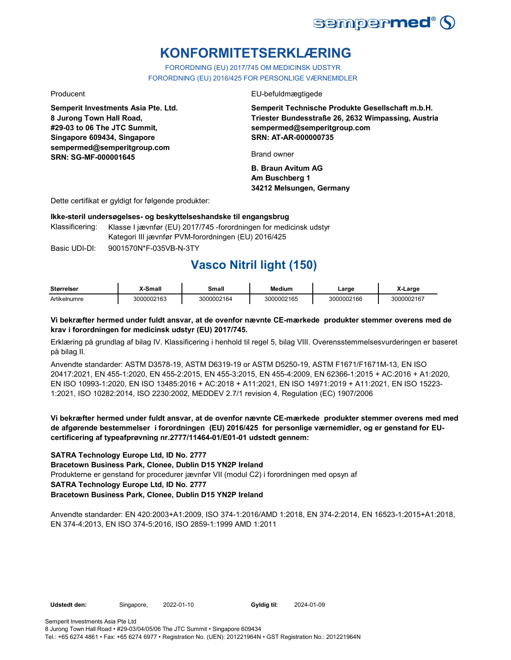

# **KONFORMITETSERKLÆRING**

FORORDNING (EU) 2017/745 OM MEDICINSK UDSTYR FORORDNING (EU) 2016/425 FOR PERSONLIGE VÆRNEMIDLER

**Semperit Investments Asia Pte. Ltd. 8 Jurong Town Hall Road, #29-03 to 06 The JTC Summit, Singapore 609434, Singapore sempermed@semperitgroup.com SRN: SG-MF-000001645**

Producent EU-befuldmægtigede

**Semperit Technische Produkte Gesellschaft m.b.H. Triester Bundesstraße 26, 2632 Wimpassing, Austria sempermed@semperitgroup.com SRN: AT-AR-000000735**

Brand owner

**B. Braun Avitum AG Am Buschberg 1 34212 Melsungen, Germany**

Dette certifikat er gyldigt for følgende produkter:

### **Ikke-steril undersøgelses- og beskyttelseshandske til engangsbrug**

Klassificering: Klasse I jævnfør (EU) 2017/745 -forordningen for medicinsk udstyr Kategori III jævnfør PVM-forordningen (EU) 2016/425

Basic UDI-DI: 9001570N\*F-035VB-N-3TY

## **Vasco Nitril light (150)**

| <b>Størrelser</b> | X-Small    | Small      | <b>Medium</b> | _arge      | X-Large    |
|-------------------|------------|------------|---------------|------------|------------|
| Artikelnumre      | 3000002163 | 3000002164 | 3000002165    | 3000002166 | 3000002167 |

### **Vi bekræfter hermed under fuldt ansvar, at de ovenfor nævnte CE-mærkede produkter stemmer overens med de krav i forordningen for medicinsk udstyr (EU) 2017/745.**

Erklæring på grundlag af bilag IV. Klassificering i henhold til regel 5, bilag VIII. Overensstemmelsesvurderingen er baseret på bilag II.

Anvendte standarder: ASTM D3578-19, ASTM D6319-19 or ASTM D5250-19, ASTM F1671/F1671M-13, EN ISO 20417:2021, EN 455-1:2020, EN 455-2:2015, EN 455-3:2015, EN 455-4:2009, EN 62366-1:2015 + AC:2016 + A1:2020, EN ISO 10993-1:2020, EN ISO 13485:2016 + AC:2018 + A11:2021, EN ISO 14971:2019 + A11:2021, EN ISO 15223- 1:2021, ISO 10282:2014, ISO 2230:2002, MEDDEV 2.7/1 revision 4, Regulation (EC) 1907/2006

**Vi bekræfter hermed under fuldt ansvar, at de ovenfor nævnte CE-mærkede produkter stemmer overens med med de afgørende bestemmelser i forordningen (EU) 2016/425 for personlige værnemidler, og er genstand for EUcertificering af typeafprøvning nr.2777/11464-01/E01-01 udstedt gennem:**

### **SATRA Technology Europe Ltd, ID No. 2777**

**Bracetown Business Park, Clonee, Dublin D15 YN2P Ireland**

Produkterne er genstand for procedurer jævnfør VII (modul C2) i forordningen med opsyn af

### **SATRA Technology Europe Ltd, ID No. 2777**

### **Bracetown Business Park, Clonee, Dublin D15 YN2P Ireland**

Anvendte standarder: EN 420:2003+A1:2009, ISO 374-1:2016/AMD 1:2018, EN 374-2:2014, EN 16523-1:2015+A1:2018, EN 374-4:2013, EN ISO 374-5:2016, ISO 2859-1:1999 AMD 1:2011

**Udstedt den:** Singapore, 2022-01-10 **Gyldig til:** 2024-01-09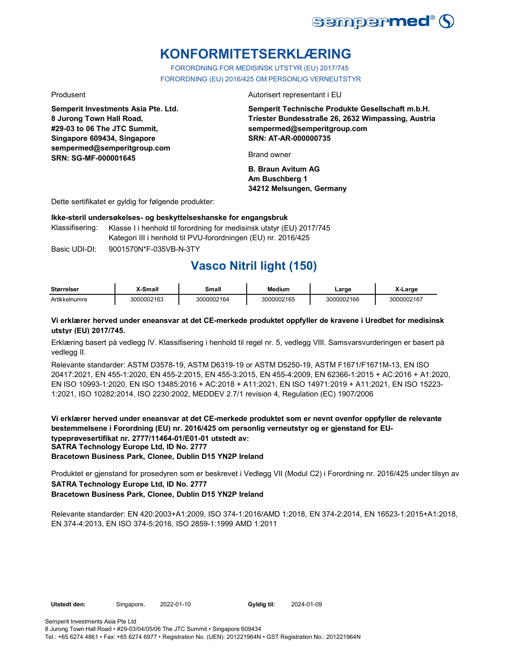

# **KONFORMITETSERKLÆRING**

FORORDNING FOR MEDISINSK UTSTYR (EU) 2017/745 FORORDNING (EU) 2016/425 OM PERSONLIG VERNEUTSTYR

**Semperit Investments Asia Pte. Ltd. 8 Jurong Town Hall Road, #29-03 to 06 The JTC Summit, Singapore 609434, Singapore sempermed@semperitgroup.com SRN: SG-MF-000001645**

Produsent **Autorisert representant i EU** 

**Semperit Technische Produkte Gesellschaft m.b.H. Triester Bundesstraße 26, 2632 Wimpassing, Austria sempermed@semperitgroup.com SRN: AT-AR-000000735**

Brand owner

**B. Braun Avitum AG Am Buschberg 1 34212 Melsungen, Germany**

Dette sertifikatet er gyldig for følgende produkter:

**Ikke-steril undersøkelses- og beskyttelseshanske for engangsbruk**

Klassifisering: Klasse I i henhold til forordning for medisinsk utstyr (EU) 2017/745 Kategori III i henhold til PVU-forordningen (EU) nr. 2016/425

Basic UDI-DI: 9001570N\*F-035VB-N-3TY 9001570N\*F-035VB-N-3T

# **Vasco Nitril light (150)**

| <b>Størrelser</b> | X-Small    | Small      | <b>Medium</b> | ∟arɑe      | X-Large    |
|-------------------|------------|------------|---------------|------------|------------|
| Artikkelnumre     | 3000002163 | 3000002164 | 3000002165    | 3000002166 | 3000002167 |

### **Vi erklærer herved under eneansvar at det CE-merkede produktet oppfyller de kravene i Uredbet for medisinsk utstyr (EU) 2017/745.**

Erklæring basert på vedlegg IV. Klassifisering i henhold til regel nr. 5, vedlegg VIII. Samsvarsvurderingen er basert på vedlegg II.

Relevante standarder: ASTM D3578-19, ASTM D6319-19 or ASTM D5250-19, ASTM F1671/F1671M-13, EN ISO 20417:2021, EN 455-1:2020, EN 455-2:2015, EN 455-3:2015, EN 455-4:2009, EN 62366-1:2015 + AC:2016 + A1:2020, EN ISO 10993-1:2020, EN ISO 13485:2016 + AC:2018 + A11:2021, EN ISO 14971:2019 + A11:2021, EN ISO 15223- 1:2021, ISO 10282:2014, ISO 2230:2002, MEDDEV 2.7/1 revision 4, Regulation (EC) 1907/2006

**Vi erklærer herved under eneansvar at det CE-merkede produktet som er nevnt ovenfor oppfyller de relevante bestemmelsene i Forordning (EU) nr. 2016/425 om personlig verneutstyr og er gjenstand for EUtypeprøvesertifikat nr. 2777/11464-01/E01-01 utstedt av: SATRA Technology Europe Ltd, ID No. 2777 Bracetown Business Park, Clonee, Dublin D15 YN2P Ireland**

**SATRA Technology Europe Ltd, ID No. 2777 Bracetown Business Park, Clonee, Dublin D15 YN2P Ireland** Produktet er gjenstand for prosedyren som er beskrevet i Vedlegg VII (Modul C2) i Forordning nr. 2016/425 under tilsyn av

Relevante standarder: EN 420:2003+A1:2009, ISO 374-1:2016/AMD 1:2018, EN 374-2:2014, EN 16523-1:2015+A1:2018, EN 374-4:2013, EN ISO 374-5:2016, ISO 2859-1:1999 AMD 1:2011

**Utstedt den:** Singapore, 2022-01-10 **Gyldig til:** 2024-01-09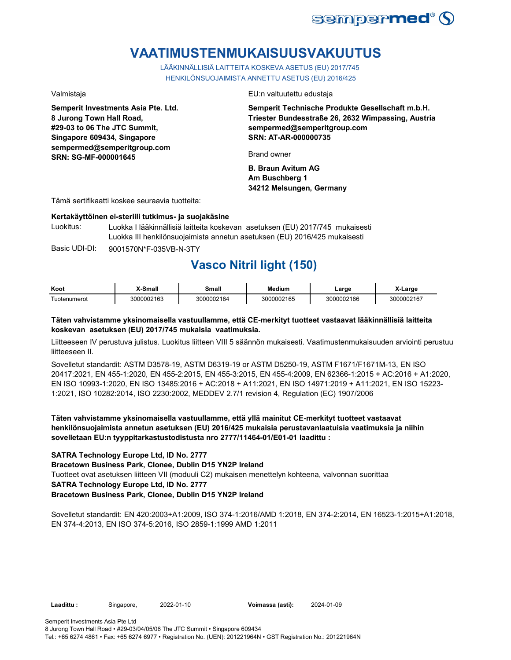

# **VAATIMUSTENMUKAISUUSVAKUUTUS**

LÄÄKINNÄLLISIÄ LAITTEITA KOSKEVA ASETUS (EU) 2017/745 HENKILÖNSUOJAIMISTA ANNETTU ASETUS (EU) 2016/425

**Semperit Investments Asia Pte. Ltd. 8 Jurong Town Hall Road, #29-03 to 06 The JTC Summit, Singapore 609434, Singapore sempermed@semperitgroup.com SRN: SG-MF-000001645**

Valmistaja EU:n valtuutettu edustaja

**Semperit Technische Produkte Gesellschaft m.b.H. Triester Bundesstraße 26, 2632 Wimpassing, Austria sempermed@semperitgroup.com SRN: AT-AR-000000735**

Brand owner

**B. Braun Avitum AG Am Buschberg 1 34212 Melsungen, Germany**

Tämä sertifikaatti koskee seuraavia tuotteita:

### **Kertakäyttöinen ei-steriili tutkimus- ja suojakäsine**

Luokitus: Luokka I lääkinnällisiä laitteita koskevan asetuksen (EU) 2017/745 mukaisesti Luokka III henkilönsuojaimista annetun asetuksen (EU) 2016/425 mukaisesti

Basic UDI-DI: 9001570N\*F-035VB-N-3TY 9001570N\*F-035VB-N-3T

# **Vasco Nitril light (150)**

| Koot          | X-Small    | Small      | <b>Medium</b> | ∟arge      | X-Large    |
|---------------|------------|------------|---------------|------------|------------|
| l uotenumerot | 3000002163 | 3000002164 | 3000002165    | 3000002166 | 3000002167 |

### **Täten vahvistamme yksinomaisella vastuullamme, että CE-merkityt tuotteet vastaavat lääkinnällisiä laitteita koskevan asetuksen (EU) 2017/745 mukaisia vaatimuksia.**

Liitteeseen IV perustuva julistus. Luokitus liitteen VIII 5 säännön mukaisesti. Vaatimustenmukaisuuden arviointi perustuu liitteeseen II.

Sovelletut standardit: ASTM D3578-19, ASTM D6319-19 or ASTM D5250-19, ASTM F1671/F1671M-13, EN ISO 20417:2021, EN 455-1:2020, EN 455-2:2015, EN 455-3:2015, EN 455-4:2009, EN 62366-1:2015 + AC:2016 + A1:2020, EN ISO 10993-1:2020, EN ISO 13485:2016 + AC:2018 + A11:2021, EN ISO 14971:2019 + A11:2021, EN ISO 15223- 1:2021, ISO 10282:2014, ISO 2230:2002, MEDDEV 2.7/1 revision 4, Regulation (EC) 1907/2006

### **Täten vahvistamme yksinomaisella vastuullamme, että yllä mainitut CE-merkityt tuotteet vastaavat henkilönsuojaimista annetun asetuksen (EU) 2016/425 mukaisia perustavanlaatuisia vaatimuksia ja niihin sovelletaan EU:n tyyppitarkastustodistusta nro 2777/11464-01/E01-01 laadittu :**

### **SATRA Technology Europe Ltd, ID No. 2777**

### **Bracetown Business Park, Clonee, Dublin D15 YN2P Ireland**

Tuotteet ovat asetuksen liitteen VII (moduuli C2) mukaisen menettelyn kohteena, valvonnan suorittaa

### **SATRA Technology Europe Ltd, ID No. 2777**

### **Bracetown Business Park, Clonee, Dublin D15 YN2P Ireland**

Sovelletut standardit: EN 420:2003+A1:2009, ISO 374-1:2016/AMD 1:2018, EN 374-2:2014, EN 16523-1:2015+A1:2018, EN 374-4:2013, EN ISO 374-5:2016, ISO 2859-1:1999 AMD 1:2011

**Laadittu :** Singapore, 2022-01-10 **Voimassa (asti):** 2024-01-09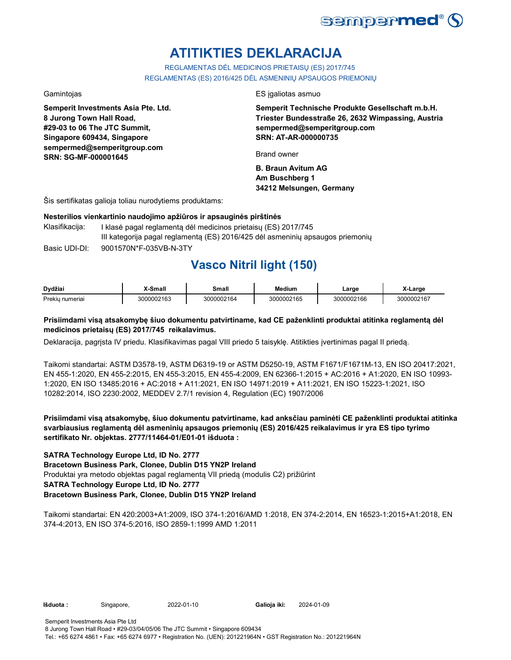

# **ATITIKTIES DEKLARACIJA**

REGLAMENTAS DĖL MEDICINOS PRIETAISŲ (ES) 2017/745 REGLAMENTAS (ES) 2016/425 DĖL ASMENINIŲ APSAUGOS PRIEMONIŲ

**Semperit Investments Asia Pte. Ltd. 8 Jurong Town Hall Road, #29-03 to 06 The JTC Summit, Singapore 609434, Singapore sempermed@semperitgroup.com SRN: SG-MF-000001645**

Gamintojas ES įgaliotas asmuo

**Semperit Technische Produkte Gesellschaft m.b.H. Triester Bundesstraße 26, 2632 Wimpassing, Austria sempermed@semperitgroup.com SRN: AT-AR-000000735**

Brand owner

**B. Braun Avitum AG Am Buschberg 1 34212 Melsungen, Germany**

Šis sertifikatas galioja toliau nurodytiems produktams:

### **Nesterilios vienkartinio naudojimo apžiūros ir apsauginės pirštinės**

Basic UDI-DI: 9001570N\*F-035VB-N-3TY 9001570N\*F-035VB-N-3T Klasifikacija: I klasė pagal reglamentą dėl medicinos prietaisų (ES) 2017/745 III kategorija pagal reglamentą (ES) 2016/425 dėl asmeninių apsaugos priemonių

## **Vasco Nitril light (150)**

| Dvdžiai                        | <sup>™</sup> Small | Small      | Medium     | Large      | Large      |
|--------------------------------|--------------------|------------|------------|------------|------------|
| <b>Prekiu</b><br><b>umeria</b> | 3000002163         | 3000002164 | 3000002165 | 3000002166 | 3000002167 |

### **Prisiimdami visą atsakomybę šiuo dokumentu patvirtiname, kad CE paženklinti produktai atitinka reglamentą dėl medicinos prietaisų (ES) 2017/745 reikalavimus.**

Deklaracija, pagrįsta IV priedu. Klasifikavimas pagal VIII priedo 5 taisyklę. Atitikties įvertinimas pagal II priedą.

Taikomi standartai: ASTM D3578-19, ASTM D6319-19 or ASTM D5250-19, ASTM F1671/F1671M-13, EN ISO 20417:2021, EN 455-1:2020, EN 455-2:2015, EN 455-3:2015, EN 455-4:2009, EN 62366-1:2015 + AC:2016 + A1:2020, EN ISO 10993- 1:2020, EN ISO 13485:2016 + AC:2018 + A11:2021, EN ISO 14971:2019 + A11:2021, EN ISO 15223-1:2021, ISO 10282:2014, ISO 2230:2002, MEDDEV 2.7/1 revision 4, Regulation (EC) 1907/2006

**Prisiimdami visą atsakomybę, šiuo dokumentu patvirtiname, kad anksčiau paminėti CE paženklinti produktai atitinka svarbiausius reglamentą dėl asmeninių apsaugos priemonių (ES) 2016/425 reikalavimus ir yra ES tipo tyrimo sertifikato Nr. objektas. 2777/11464-01/E01-01 išduota :**

### **SATRA Technology Europe Ltd, ID No. 2777**

**Bracetown Business Park, Clonee, Dublin D15 YN2P Ireland**

Produktai yra metodo objektas pagal reglamentą VII priedą (modulis C2) prižiūrint

### **SATRA Technology Europe Ltd, ID No. 2777**

### **Bracetown Business Park, Clonee, Dublin D15 YN2P Ireland**

Taikomi standartai: EN 420:2003+A1:2009, ISO 374-1:2016/AMD 1:2018, EN 374-2:2014, EN 16523-1:2015+A1:2018, EN 374-4:2013, EN ISO 374-5:2016, ISO 2859-1:1999 AMD 1:2011

**Išduota :** Singapore, 2022-01-10 **Galioja iki:** 2024-01-09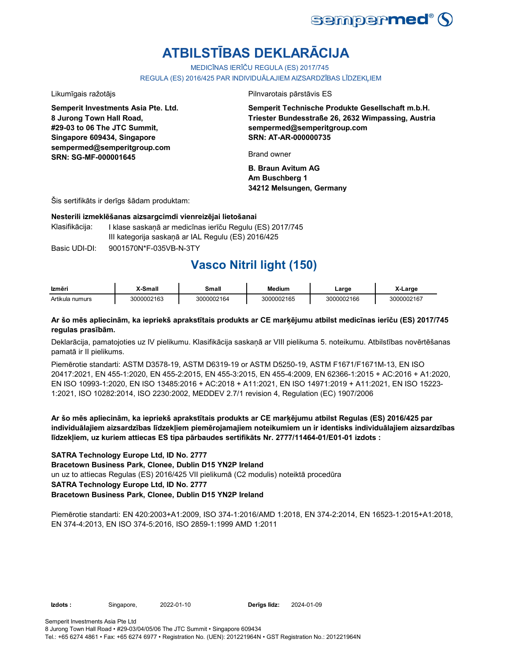

# **ATBILSTĪBAS DEKLARĀCIJA**

MEDICĪNAS IERĪČU REGULA (ES) 2017/745

REGULA (ES) 2016/425 PAR INDIVIDUĀLAJIEM AIZSARDZĪBAS LĪDZEKĻIEM

**Semperit Investments Asia Pte. Ltd. 8 Jurong Town Hall Road, #29-03 to 06 The JTC Summit, Singapore 609434, Singapore sempermed@semperitgroup.com SRN: SG-MF-000001645**

Likumīgais ražotājs Pilnvarotais pārstāvis ES

**Semperit Technische Produkte Gesellschaft m.b.H. Triester Bundesstraße 26, 2632 Wimpassing, Austria sempermed@semperitgroup.com SRN: AT-AR-000000735**

Brand owner

**B. Braun Avitum AG Am Buschberg 1 34212 Melsungen, Germany**

Šis sertifikāts ir derīgs šādam produktam:

### **Nesterili izmeklēšanas aizsargcimdi vienreizējai lietošanai**

Klasifikācija: I klase saskaņā ar medicīnas ierīču Regulu (ES) 2017/745 III kategorija saskaņā ar IAL Regulu (ES) 2016/425

Basic UDI-DI: 9001570N\*F-035VB-N-3TY 9001570N\*F-035VB-N-3T

## **Vasco Nitril light (150)**

| Izmēri          | X-Small    | Small      | <b>Medium</b> | ∟arge      | X-Large    |
|-----------------|------------|------------|---------------|------------|------------|
| Artikula numurs | 3000002163 | 3000002164 | 3000002165    | 3000002166 | 3000002167 |

### **Ar šo mēs apliecinām, ka iepriekš aprakstītais produkts ar CE marķējumu atbilst medicīnas ierīču (ES) 2017/745 regulas prasībām.**

Deklarācija, pamatojoties uz IV pielikumu. Klasifikācija saskaņā ar VIII pielikuma 5. noteikumu. Atbilstības novērtēšanas pamatā ir II pielikums.

Piemērotie standarti: ASTM D3578-19, ASTM D6319-19 or ASTM D5250-19, ASTM F1671/F1671M-13, EN ISO 20417:2021, EN 455-1:2020, EN 455-2:2015, EN 455-3:2015, EN 455-4:2009, EN 62366-1:2015 + AC:2016 + A1:2020, EN ISO 10993-1:2020, EN ISO 13485:2016 + AC:2018 + A11:2021, EN ISO 14971:2019 + A11:2021, EN ISO 15223- 1:2021, ISO 10282:2014, ISO 2230:2002, MEDDEV 2.7/1 revision 4, Regulation (EC) 1907/2006

**Ar šo mēs apliecinām, ka iepriekš aprakstītais produkts ar CE marķējumu atbilst Regulas (ES) 2016/425 par individuālajiem aizsardzības līdzekļiem piemērojamajiem noteikumiem un ir identisks individuālajiem aizsardzības līdzekļiem, uz kuriem attiecas ES tipa pārbaudes sertifikāts Nr. 2777/11464-01/E01-01 izdots :**

### **SATRA Technology Europe Ltd, ID No. 2777**

**Bracetown Business Park, Clonee, Dublin D15 YN2P Ireland**

un uz to attiecas Regulas (ES) 2016/425 VII pielikumā (C2 modulis) noteiktā procedūra

### **SATRA Technology Europe Ltd, ID No. 2777**

### **Bracetown Business Park, Clonee, Dublin D15 YN2P Ireland**

Piemērotie standarti: EN 420:2003+A1:2009, ISO 374-1:2016/AMD 1:2018, EN 374-2:2014, EN 16523-1:2015+A1:2018, EN 374-4:2013, EN ISO 374-5:2016, ISO 2859-1:1999 AMD 1:2011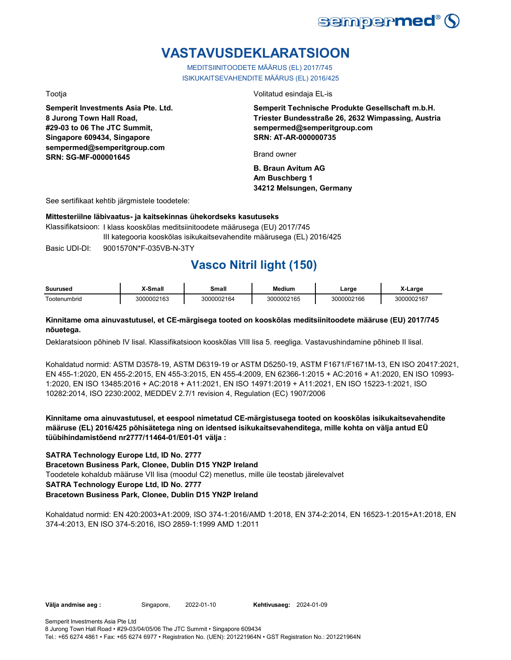

# **VASTAVUSDEKLARATSIOON**

MEDITSIINITOODETE MÄÄRUS (EL) 2017/745 ISIKUKAITSEVAHENDITE MÄÄRUS (EL) 2016/425

**Semperit Investments Asia Pte. Ltd. 8 Jurong Town Hall Road, #29-03 to 06 The JTC Summit, Singapore 609434, Singapore sempermed@semperitgroup.com SRN: SG-MF-000001645**

Tootja Volitatud esindaja EL-is

**Semperit Technische Produkte Gesellschaft m.b.H. Triester Bundesstraße 26, 2632 Wimpassing, Austria sempermed@semperitgroup.com SRN: AT-AR-000000735**

Brand owner

**B. Braun Avitum AG Am Buschberg 1 34212 Melsungen, Germany**

See sertifikaat kehtib järgmistele toodetele:

### **Mittesteriilne läbivaatus- ja kaitsekinnas ühekordseks kasutuseks**

Basic UDI-DI: 9001570N\*F-035VB-N-3TY Klassifikatsioon: I klass kooskõlas meditsiinitoodete määrusega (EU) 2017/745 III kategooria kooskõlas isikukaitsevahendite määrusega (EL) 2016/425

## **Vasco Nitril light (150)**

| Suuruseo                  | <br><b>Cmal</b> | `mall | Medium  | _arge    | _argr           |
|---------------------------|-----------------|-------|---------|----------|-----------------|
| $\sim$<br>mbrio<br>`ooter | )002163         | ി64.  | 0002165 | 00002166 | 3000002167<br>ю |

### **Kinnitame oma ainuvastutusel, et CE-märgisega tooted on kooskõlas meditsiinitoodete määruse (EU) 2017/745 nõuetega.**

Deklaratsioon põhineb IV lisal. Klassifikatsioon kooskõlas VIII lisa 5. reegliga. Vastavushindamine põhineb II lisal.

Kohaldatud normid: ASTM D3578-19, ASTM D6319-19 or ASTM D5250-19, ASTM F1671/F1671M-13, EN ISO 20417:2021, EN 455-1:2020, EN 455-2:2015, EN 455-3:2015, EN 455-4:2009, EN 62366-1:2015 + AC:2016 + A1:2020, EN ISO 10993- 1:2020, EN ISO 13485:2016 + AC:2018 + A11:2021, EN ISO 14971:2019 + A11:2021, EN ISO 15223-1:2021, ISO 10282:2014, ISO 2230:2002, MEDDEV 2.7/1 revision 4, Regulation (EC) 1907/2006

**Kinnitame oma ainuvastutusel, et eespool nimetatud CE-märgistusega tooted on kooskõlas isikukaitsevahendite määruse (EL) 2016/425 põhisätetega ning on identsed isikukaitsevahenditega, mille kohta on välja antud EÜ tüübihindamistõend nr2777/11464-01/E01-01 välja :**

### **SATRA Technology Europe Ltd, ID No. 2777**

**Bracetown Business Park, Clonee, Dublin D15 YN2P Ireland**

Toodetele kohaldub määruse VII lisa (moodul C2) menetlus, mille üle teostab järelevalvet

### **SATRA Technology Europe Ltd, ID No. 2777**

### **Bracetown Business Park, Clonee, Dublin D15 YN2P Ireland**

Kohaldatud normid: EN 420:2003+A1:2009, ISO 374-1:2016/AMD 1:2018, EN 374-2:2014, EN 16523-1:2015+A1:2018, EN 374-4:2013, EN ISO 374-5:2016, ISO 2859-1:1999 AMD 1:2011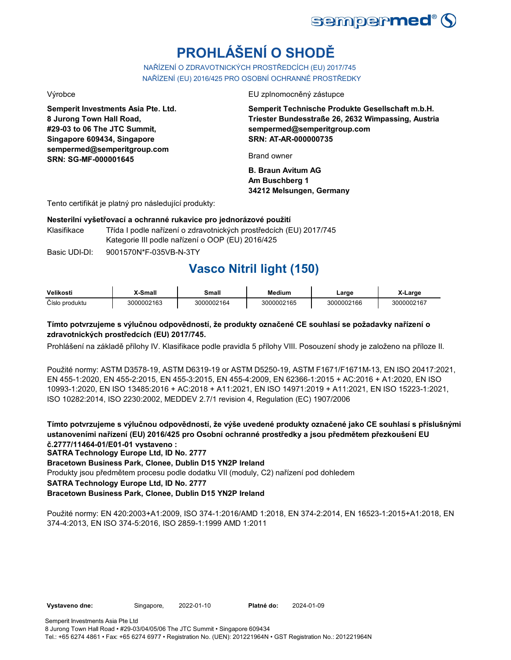

# **PROHLÁŠENÍ O SHODĚ**

NAŘÍZENÍ O ZDRAVOTNICKÝCH PROSTŘEDCÍCH (EU) 2017/745 NAŘÍZENÍ (EU) 2016/425 PRO OSOBNÍ OCHRANNÉ PROSTŘEDKY

**Semperit Investments Asia Pte. Ltd. 8 Jurong Town Hall Road, #29-03 to 06 The JTC Summit, Singapore 609434, Singapore sempermed@semperitgroup.com SRN: SG-MF-000001645**

Výrobce EU zplnomocněný zástupce

**Semperit Technische Produkte Gesellschaft m.b.H. Triester Bundesstraße 26, 2632 Wimpassing, Austria sempermed@semperitgroup.com SRN: AT-AR-000000735**

Brand owner

**B. Braun Avitum AG Am Buschberg 1 34212 Melsungen, Germany**

Tento certifikát je platný pro následující produkty:

### **Nesterilní vyšetřovací a ochranné rukavice pro jednorázové použití**

Klasifikace Třída I podle nařízení o zdravotnických prostředcích (EU) 2017/745 Kategorie III podle nařízení o OOP (EU) 2016/425

Basic UDI-DI: 9001570N\*F-035VB-N-3TY 9001570N\*F-035VB-N-3T

# **Vasco Nitril light (150)**

| Velikosti      | X-Small    | Small      | Medium     | ∟arɑe      | X-Large    |
|----------------|------------|------------|------------|------------|------------|
| Číslo produktu | 3000002163 | 3000002164 | 3000002165 | 3000002166 | 3000002167 |

### **Tímto potvrzujeme s výlučnou odpovědností, že produkty označené CE souhlasí se požadavky nařízení o zdravotnických prostředcích (EU) 2017/745.**

Prohlášení na základě přílohy IV. Klasifikace podle pravidla 5 přílohy VIII. Posouzení shody je založeno na příloze II.

Použité normy: ASTM D3578-19, ASTM D6319-19 or ASTM D5250-19, ASTM F1671/F1671M-13, EN ISO 20417:2021, EN 455-1:2020, EN 455-2:2015, EN 455-3:2015, EN 455-4:2009, EN 62366-1:2015 + AC:2016 + A1:2020, EN ISO 10993-1:2020, EN ISO 13485:2016 + AC:2018 + A11:2021, EN ISO 14971:2019 + A11:2021, EN ISO 15223-1:2021, ISO 10282:2014, ISO 2230:2002, MEDDEV 2.7/1 revision 4, Regulation (EC) 1907/2006

**Tímto potvrzujeme s výlučnou odpovědností, že výše uvedené produkty označené jako CE souhlasí s příslušnými ustanoveními nařízení (EU) 2016/425 pro Osobní ochranné prostředky a jsou předmětem přezkoušení EU č.2777/11464-01/E01-01 vystaveno :**

**SATRA Technology Europe Ltd, ID No. 2777**

**Bracetown Business Park, Clonee, Dublin D15 YN2P Ireland**

Produkty jsou předmětem procesu podle dodatku VII (moduly, C2) nařízení pod dohledem

**SATRA Technology Europe Ltd, ID No. 2777**

### **Bracetown Business Park, Clonee, Dublin D15 YN2P Ireland**

Použité normy: EN 420:2003+A1:2009, ISO 374-1:2016/AMD 1:2018, EN 374-2:2014, EN 16523-1:2015+A1:2018, EN 374-4:2013, EN ISO 374-5:2016, ISO 2859-1:1999 AMD 1:2011

**Vystaveno dne:** Singapore, 2022-01-10 **Platné do:** 2024-01-09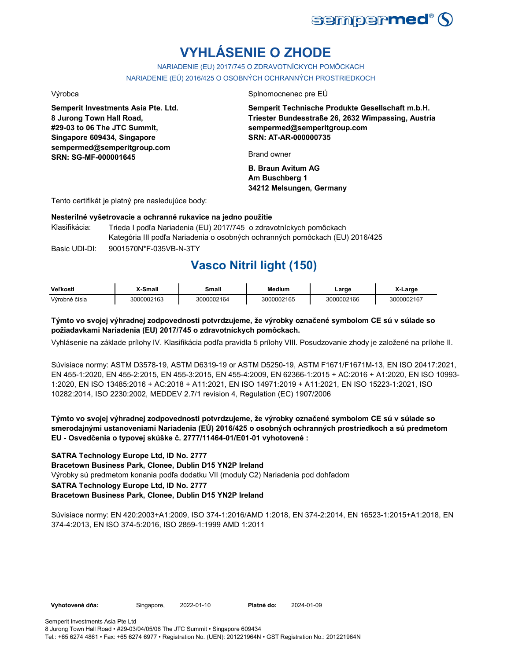

# **VYHLÁSENIE O ZHODE**

NARIADENIE (EU) 2017/745 O ZDRAVOTNÍCKYCH POMÔCKACH NARIADENIE (EÚ) 2016/425 O OSOBNÝCH OCHRANNÝCH PROSTRIEDKOCH

**Semperit Investments Asia Pte. Ltd. 8 Jurong Town Hall Road, #29-03 to 06 The JTC Summit, Singapore 609434, Singapore sempermed@semperitgroup.com SRN: SG-MF-000001645**

Výrobca Splnomocnenec pre EÚ

**Semperit Technische Produkte Gesellschaft m.b.H. Triester Bundesstraße 26, 2632 Wimpassing, Austria sempermed@semperitgroup.com SRN: AT-AR-000000735**

Brand owner

**B. Braun Avitum AG Am Buschberg 1 34212 Melsungen, Germany**

Tento certifikát je platný pre nasledujúce body:

### **Nesterilné vyšetrovacie a ochranné rukavice na jedno použitie**

Basic UDI-DI: 9001570N\*F-035VB-N-3TY 9001570N\*F-035VB-N-3T Klasifikácia: Trieda I podľa Nariadenia (EU) 2017/745 o zdravotníckych pomôckach Kategória III podľa Nariadenia o osobných ochranných pomôckach (EU) 2016/425

## **Vasco Nitril light (150)**

| Veľkosti      | X-Small    | Small      | <b>Medium</b> | ∟arge      | X-Large    |
|---------------|------------|------------|---------------|------------|------------|
| Výrobné čísla | 3000002163 | 3000002164 | 3000002165    | 3000002166 | 3000002167 |

### **Týmto vo svojej výhradnej zodpovednosti potvrdzujeme, že výrobky označené symbolom CE sú v súlade so požiadavkami Nariadenia (EU) 2017/745 o zdravotníckych pomôckach.**

Vyhlásenie na základe prílohy IV. Klasifikácia podľa pravidla 5 prílohy VIII. Posudzovanie zhody je založené na prílohe II.

Súvisiace normy: ASTM D3578-19, ASTM D6319-19 or ASTM D5250-19, ASTM F1671/F1671M-13, EN ISO 20417:2021, EN 455-1:2020, EN 455-2:2015, EN 455-3:2015, EN 455-4:2009, EN 62366-1:2015 + AC:2016 + A1:2020, EN ISO 10993- 1:2020, EN ISO 13485:2016 + AC:2018 + A11:2021, EN ISO 14971:2019 + A11:2021, EN ISO 15223-1:2021, ISO 10282:2014, ISO 2230:2002, MEDDEV 2.7/1 revision 4, Regulation (EC) 1907/2006

**Týmto vo svojej výhradnej zodpovednosti potvrdzujeme, že výrobky označené symbolom CE sú v súlade so smerodajnými ustanoveniami Nariadenia (EÚ) 2016/425 o osobných ochranných prostriedkoch a sú predmetom EU - Osvedčenia o typovej skúške č. 2777/11464-01/E01-01 vyhotovené :**

### **SATRA Technology Europe Ltd, ID No. 2777**

**Bracetown Business Park, Clonee, Dublin D15 YN2P Ireland**

Výrobky sú predmetom konania podľa dodatku VII (moduly C2) Nariadenia pod dohľadom

### **SATRA Technology Europe Ltd, ID No. 2777**

### **Bracetown Business Park, Clonee, Dublin D15 YN2P Ireland**

Súvisiace normy: EN 420:2003+A1:2009, ISO 374-1:2016/AMD 1:2018, EN 374-2:2014, EN 16523-1:2015+A1:2018, EN 374-4:2013, EN ISO 374-5:2016, ISO 2859-1:1999 AMD 1:2011

**Vyhotovené dňa:** Singapore, 2022-01-10 **Platné do:** 2024-01-09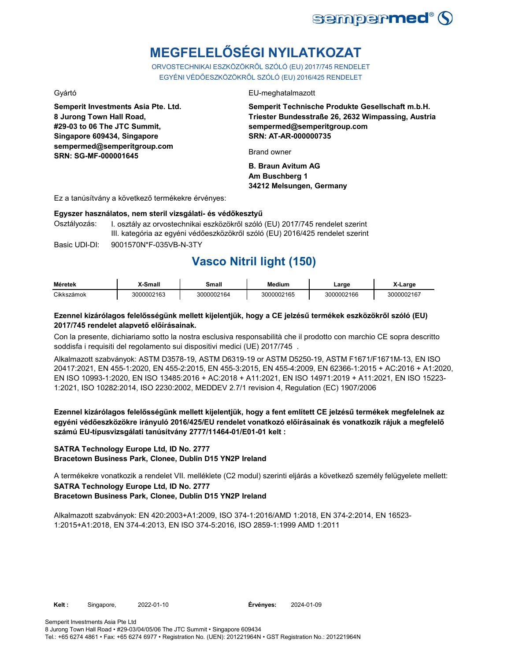

# **MEGFELELŐSÉGI NYILATKOZAT**

ORVOSTECHNIKAI ESZKÖZÖKRŐL SZÓLÓ (EU) 2017/745 RENDELET EGYÉNI VÉDŐESZKÖZÖKRŐL SZÓLÓ (EU) 2016/425 RENDELET

**Semperit Investments Asia Pte. Ltd. 8 Jurong Town Hall Road, #29-03 to 06 The JTC Summit, Singapore 609434, Singapore sempermed@semperitgroup.com SRN: SG-MF-000001645**

### Gyártó EU-meghatalmazott

**Semperit Technische Produkte Gesellschaft m.b.H. Triester Bundesstraße 26, 2632 Wimpassing, Austria sempermed@semperitgroup.com SRN: AT-AR-000000735**

Brand owner

**B. Braun Avitum AG Am Buschberg 1 34212 Melsungen, Germany**

Ez a tanúsítvány a következő termékekre érvényes:

### **Egyszer használatos, nem steril vizsgálati- és védőkesztyű**

Osztályozás: I. osztály az orvostechnikai eszközökről szóló (EU) 2017/745 rendelet szerint III. kategória az egyéni védőeszközökről szóló (EU) 2016/425 rendelet szerint

Basic UDI-DI: 9001570N\*F-035VB-N-3TY

## **Vasco Nitril light (150)**

| Méretek             | Small    | Small      | <b>Medium</b> | _arge      | arge       |
|---------------------|----------|------------|---------------|------------|------------|
| <b>Cikks</b><br>mok | 00002163 | 3000002164 | 3000002165    | 3000002166 | 3000002167 |

### **Ezennel kizárólagos felelősségünk mellett kijelentjük, hogy a CE jelzésű termékek eszközökről szóló (EU) 2017/745 rendelet alapvető előírásainak.**

Con la presente, dichiariamo sotto la nostra esclusiva responsabilità che il prodotto con marchio CE sopra descritto soddisfa i requisiti del regolamento sui dispositivi medici (UE) 2017/745 .

Alkalmazott szabványok: ASTM D3578-19, ASTM D6319-19 or ASTM D5250-19, ASTM F1671/F1671M-13, EN ISO 20417:2021, EN 455-1:2020, EN 455-2:2015, EN 455-3:2015, EN 455-4:2009, EN 62366-1:2015 + AC:2016 + A1:2020, EN ISO 10993-1:2020, EN ISO 13485:2016 + AC:2018 + A11:2021, EN ISO 14971:2019 + A11:2021, EN ISO 15223- 1:2021, ISO 10282:2014, ISO 2230:2002, MEDDEV 2.7/1 revision 4, Regulation (EC) 1907/2006

**Ezennel kizárólagos felelősségünk mellett kijelentjük, hogy a fent említett CE jelzésű termékek megfelelnek az egyéni védőeszközökre irányuló 2016/425/EU rendelet vonatkozó előírásainak és vonatkozik rájuk a megfelelő számú EU-típusvizsgálati tanúsítvány 2777/11464-01/E01-01 kelt :**

### **SATRA Technology Europe Ltd, ID No. 2777 Bracetown Business Park, Clonee, Dublin D15 YN2P Ireland**

**SATRA Technology Europe Ltd, ID No. 2777 Bracetown Business Park, Clonee, Dublin D15 YN2P Ireland** A termékekre vonatkozik a rendelet VII. melléklete (C2 modul) szerinti eljárás a következő személy felügyelete mellett:

Alkalmazott szabványok: EN 420:2003+A1:2009, ISO 374-1:2016/AMD 1:2018, EN 374-2:2014, EN 16523- 1:2015+A1:2018, EN 374-4:2013, EN ISO 374-5:2016, ISO 2859-1:1999 AMD 1:2011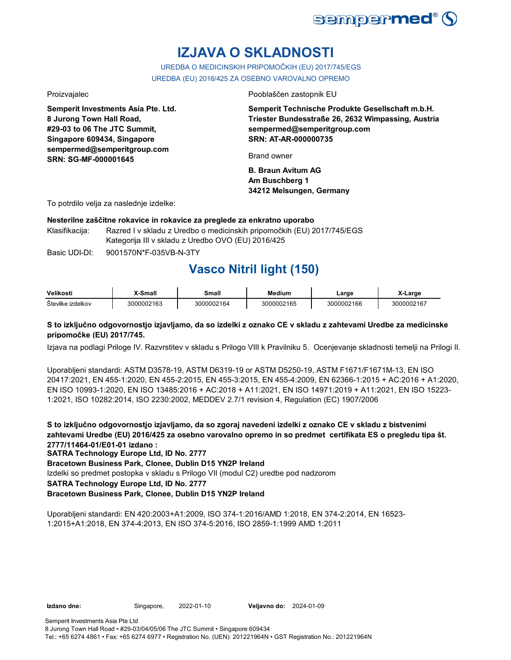

# **IZJAVA O SKLADNOSTI**

UREDBA O MEDICINSKIH PRIPOMOČKIH (EU) 2017/745/EGS UREDBA (EU) 2016/425 ZA OSEBNO VAROVALNO OPREMO

**Semperit Investments Asia Pte. Ltd. 8 Jurong Town Hall Road, #29-03 to 06 The JTC Summit, Singapore 609434, Singapore sempermed@semperitgroup.com SRN: SG-MF-000001645**

Proizvajalec Pooblaščen zastopnik EU

**Semperit Technische Produkte Gesellschaft m.b.H. Triester Bundesstraße 26, 2632 Wimpassing, Austria sempermed@semperitgroup.com SRN: AT-AR-000000735**

Brand owner

**B. Braun Avitum AG Am Buschberg 1 34212 Melsungen, Germany**

To potrdilo velja za naslednje izdelke:

### **Nesterilne zaščitne rokavice in rokavice za preglede za enkratno uporabo**

Klasifikacija: Razred I v skladu z Uredbo o medicinskih pripomočkih (EU) 2017/745/EGS Kategorija III v skladu z Uredbo OVO (EU) 2016/425

Basic UDI-DI: 9001570N\*F-035VB-N-3TY 9001570N\*F-035VB-N-3T

# **Vasco Nitril light (150)**

| Velikosti         | <sup>v</sup> -Small | Small      | Medium     | Large      | X-Large    |
|-------------------|---------------------|------------|------------|------------|------------|
| Številke izdelkov | 3000002163          | 3000002164 | 3000002165 | 3000002166 | 3000002167 |

### **S to izključno odgovornostjo izjavljamo, da so izdelki z oznako CE v skladu z zahtevami Uredbe za medicinske pripomočke (EU) 2017/745.**

Izjava na podlagi Priloge IV. Razvrstitev v skladu s Prilogo VIII k Pravilniku 5. Ocenjevanje skladnosti temelji na Prilogi II.

Uporabljeni standardi: ASTM D3578-19, ASTM D6319-19 or ASTM D5250-19, ASTM F1671/F1671M-13, EN ISO 20417:2021, EN 455-1:2020, EN 455-2:2015, EN 455-3:2015, EN 455-4:2009, EN 62366-1:2015 + AC:2016 + A1:2020, EN ISO 10993-1:2020, EN ISO 13485:2016 + AC:2018 + A11:2021, EN ISO 14971:2019 + A11:2021, EN ISO 15223- 1:2021, ISO 10282:2014, ISO 2230:2002, MEDDEV 2.7/1 revision 4, Regulation (EC) 1907/2006

**S to izključno odgovornostjo izjavljamo, da so zgoraj navedeni izdelki z oznako CE v skladu z bistvenimi zahtevami Uredbe (EU) 2016/425 za osebno varovalno opremo in so predmet certifikata ES o pregledu tipa št. 2777/11464-01/E01-01 izdano :**

**SATRA Technology Europe Ltd, ID No. 2777**

**Bracetown Business Park, Clonee, Dublin D15 YN2P Ireland**

Izdelki so predmet postopka v skladu s Prilogo VII (modul C2) uredbe pod nadzorom

**SATRA Technology Europe Ltd, ID No. 2777**

### **Bracetown Business Park, Clonee, Dublin D15 YN2P Ireland**

Uporabljeni standardi: EN 420:2003+A1:2009, ISO 374-1:2016/AMD 1:2018, EN 374-2:2014, EN 16523- 1:2015+A1:2018, EN 374-4:2013, EN ISO 374-5:2016, ISO 2859-1:1999 AMD 1:2011

**Izdano dne:** Singapore, 2022-01-10 **Veljavno do:** 2024-01-09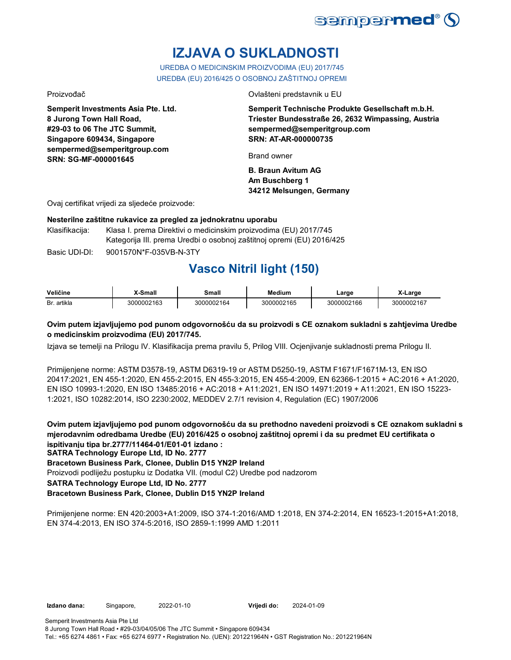

# **IZJAVA O SUKLADNOSTI**

UREDBA O MEDICINSKIM PROIZVODIMA (EU) 2017/745 UREDBA (EU) 2016/425 O OSOBNOJ ZAŠTITNOJ OPREMI

**Semperit Investments Asia Pte. Ltd. 8 Jurong Town Hall Road, #29-03 to 06 The JTC Summit, Singapore 609434, Singapore sempermed@semperitgroup.com SRN: SG-MF-000001645**

Proizvođač Ovlašteni predstavnik u EU

**Semperit Technische Produkte Gesellschaft m.b.H. Triester Bundesstraße 26, 2632 Wimpassing, Austria sempermed@semperitgroup.com SRN: AT-AR-000000735**

Brand owner

**B. Braun Avitum AG Am Buschberg 1 34212 Melsungen, Germany**

Ovaj certifikat vrijedi za sljedeće proizvode:

### **Nesterilne zaštitne rukavice za pregled za jednokratnu uporabu**

Klasifikacija: Klasa I. prema Direktivi o medicinskim proizvodima (EU) 2017/745 Kategorija III. prema Uredbi o osobnoj zaštitnoj opremi (EU) 2016/425

Basic UDI-DI: 9001570N\*F-035VB-N-3TY 9001570N\*F-035VB-N-3T

# **Vasco Nitril light (150)**

| Veličine       | <sup>™</sup> Small | Small      | Medium     | Large    | ∡-Larɑe    |
|----------------|--------------------|------------|------------|----------|------------|
| artikla<br>Br. | 3000002163         | 3000002164 | 3000002165 | 00002166 | 3000002167 |

### **Ovim putem izjavljujemo pod punom odgovornošću da su proizvodi s CE oznakom sukladni s zahtjevima Uredbe o medicinskim proizvodima (EU) 2017/745.**

Izjava se temelji na Prilogu IV. Klasifikacija prema pravilu 5, Prilog VIII. Ocjenjivanje sukladnosti prema Prilogu II.

Primijenjene norme: ASTM D3578-19, ASTM D6319-19 or ASTM D5250-19, ASTM F1671/F1671M-13, EN ISO 20417:2021, EN 455-1:2020, EN 455-2:2015, EN 455-3:2015, EN 455-4:2009, EN 62366-1:2015 + AC:2016 + A1:2020, EN ISO 10993-1:2020, EN ISO 13485:2016 + AC:2018 + A11:2021, EN ISO 14971:2019 + A11:2021, EN ISO 15223- 1:2021, ISO 10282:2014, ISO 2230:2002, MEDDEV 2.7/1 revision 4, Regulation (EC) 1907/2006

**Ovim putem izjavljujemo pod punom odgovornošću da su prethodno navedeni proizvodi s CE oznakom sukladni s mjerodavnim odredbama Uredbe (EU) 2016/425 o osobnoj zaštitnoj opremi i da su predmet EU certifikata o ispitivanju tipa br.2777/11464-01/E01-01 izdano :**

**SATRA Technology Europe Ltd, ID No. 2777**

**Bracetown Business Park, Clonee, Dublin D15 YN2P Ireland**

Proizvodi podliježu postupku iz Dodatka VII. (modul C2) Uredbe pod nadzorom

**SATRA Technology Europe Ltd, ID No. 2777**

### **Bracetown Business Park, Clonee, Dublin D15 YN2P Ireland**

Primijenjene norme: EN 420:2003+A1:2009, ISO 374-1:2016/AMD 1:2018, EN 374-2:2014, EN 16523-1:2015+A1:2018, EN 374-4:2013, EN ISO 374-5:2016, ISO 2859-1:1999 AMD 1:2011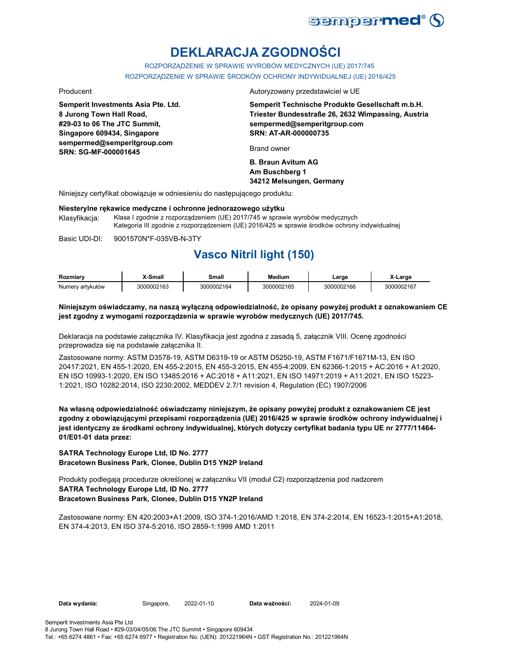

# **DEKLARACJA ZGODNOŚCI**

ROZPORZĄDZENIE W SPRAWIE WYROBÓW MEDYCZNYCH (UE) 2017/745 ROZPORZĄDZENIE W SPRAWIE ŚRODKÓW OCHRONY INDYWIDUALNEJ (UE) 2016/425

**Semperit Investments Asia Pte. Ltd. 8 Jurong Town Hall Road, #29-03 to 06 The JTC Summit, Singapore 609434, Singapore sempermed@semperitgroup.com SRN: SG-MF-000001645**

Producent Autoryzowany przedstawiciel w UE

**Semperit Technische Produkte Gesellschaft m.b.H. Triester Bundesstraße 26, 2632 Wimpassing, Austria sempermed@semperitgroup.com SRN: AT-AR-000000735**

Brand owner

**B. Braun Avitum AG Am Buschberg 1 34212 Melsungen, Germany**

Niniejszy certyfikat obowiązuje w odniesieniu do następującego produktu:

### **Niesterylne rękawice medyczne i ochronne jednorazowego użytku**

Klasyfikacja: Klasa I zgodnie z rozporządzeniem (UE) 2017/745 w sprawie wyrobów medycznych Kategoria III zgodnie z rozporządzeniem (UE) 2016/425 w sprawie środków ochrony indywidualnej

Basic UDI-DI: 9001570N\*F-035VB-N-3TY 9001570N\*F-035VB-N-3T

## **Vasco Nitril light (150)**

| Rozmiarv         | ,X-Small   | Small      | <b>Medium</b> | ∟arɑe      | X-Large    |
|------------------|------------|------------|---------------|------------|------------|
| Numerv artvkułów | 3000002163 | 3000002164 | 3000002165    | 3000002166 | 3000002167 |

### **Niniejszym oświadczamy, na naszą wyłączną odpowiedzialność, że opisany powyżej produkt z oznakowaniem CE jest zgodny z wymogami rozporządzenia w sprawie wyrobów medycznych (UE) 2017/745.**

Deklaracja na podstawie załącznika IV. Klasyfikacja jest zgodna z zasadą 5, załącznik VIII. Ocenę zgodności przeprowadza się na podstawie załącznika II.

Zastosowane normy: ASTM D3578-19, ASTM D6319-19 or ASTM D5250-19, ASTM F1671/F1671M-13, EN ISO 20417:2021, EN 455-1:2020, EN 455-2:2015, EN 455-3:2015, EN 455-4:2009, EN 62366-1:2015 + AC:2016 + A1:2020, EN ISO 10993-1:2020, EN ISO 13485:2016 + AC:2018 + A11:2021, EN ISO 14971:2019 + A11:2021, EN ISO 15223- 1:2021, ISO 10282:2014, ISO 2230:2002, MEDDEV 2.7/1 revision 4, Regulation (EC) 1907/2006

**Na własną odpowiedzialność oświadczamy niniejszym, że opisany powyżej produkt z oznakowaniem CE jest zgodny z obowiązującymi przepisami rozporządzenia (UE) 2016/425 w sprawie środków ochrony indywidualnej i jest identyczny ze środkami ochrony indywidualnej, których dotyczy certyfikat badania typu UE nr 2777/11464- 01/E01-01 data przez:**

**SATRA Technology Europe Ltd, ID No. 2777 Bracetown Business Park, Clonee, Dublin D15 YN2P Ireland**

**SATRA Technology Europe Ltd, ID No. 2777 Bracetown Business Park, Clonee, Dublin D15 YN2P Ireland** Produkty podlegają procedurze określonej w załączniku VII (moduł C2) rozporządzenia pod nadzorem

Zastosowane normy: EN 420:2003+A1:2009, ISO 374-1:2016/AMD 1:2018, EN 374-2:2014, EN 16523-1:2015+A1:2018, EN 374-4:2013, EN ISO 374-5:2016, ISO 2859-1:1999 AMD 1:2011

**Data wydania:** Singapore, 2022-01-10 **Data ważności:** 2024-01-09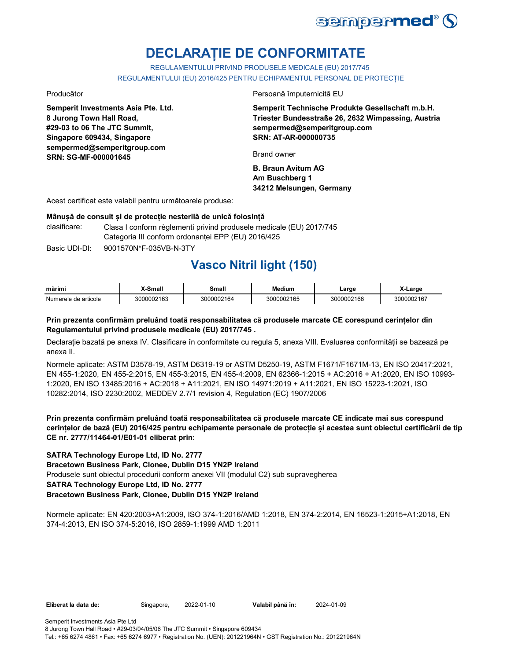

# **DECLARAȚIE DE CONFORMITATE**

REGULAMENTULUI PRIVIND PRODUSELE MEDICALE (EU) 2017/745 REGULAMENTULUI (EU) 2016/425 PENTRU ECHIPAMENTUL PERSONAL DE PROTECȚIE

**Semperit Investments Asia Pte. Ltd. 8 Jurong Town Hall Road, #29-03 to 06 The JTC Summit, Singapore 609434, Singapore sempermed@semperitgroup.com SRN: SG-MF-000001645**

Producător Persoană împuternicită EU

**Semperit Technische Produkte Gesellschaft m.b.H. Triester Bundesstraße 26, 2632 Wimpassing, Austria sempermed@semperitgroup.com SRN: AT-AR-000000735**

Brand owner

**B. Braun Avitum AG Am Buschberg 1 34212 Melsungen, Germany**

Acest certificat este valabil pentru următoarele produse:

### **Mânușă de consult și de protecție nesterilă de unică folosință**

- clasificare: Clasa I conform règlementi privind produsele medicale (EU) 2017/745 Categoria III conform ordonanței EPP (EU) 2016/425
- Basic UDI-DI: 9001570N\*F-035VB-N-3TY 9001570N\*F-035VB-N-3T

## **Vasco Nitril light (150)**

| mărim.                      | ๛๛     | шан  | Medium                          | _arge            | <b>CHAI</b>           |
|-----------------------------|--------|------|---------------------------------|------------------|-----------------------|
| Numerele<br>≧ de articole ∶ | 202162 | 1164 | $\sim$<br>וחד<br>nuu.<br>''165. | 166<br>იიჷ<br>יה | . . -<br>חר<br>ے ∩∩∩י |

### **Prin prezenta confirmăm preluând toată responsabilitatea că produsele marcate CE corespund cerințelor din Regulamentului privind produsele medicale (EU) 2017/745 .**

Declarație bazată pe anexa IV. Clasificare în conformitate cu regula 5, anexa VIII. Evaluarea conformității se bazează pe anexa II.

Normele aplicate: ASTM D3578-19, ASTM D6319-19 or ASTM D5250-19, ASTM F1671/F1671M-13, EN ISO 20417:2021, EN 455-1:2020, EN 455-2:2015, EN 455-3:2015, EN 455-4:2009, EN 62366-1:2015 + AC:2016 + A1:2020, EN ISO 10993- 1:2020, EN ISO 13485:2016 + AC:2018 + A11:2021, EN ISO 14971:2019 + A11:2021, EN ISO 15223-1:2021, ISO 10282:2014, ISO 2230:2002, MEDDEV 2.7/1 revision 4, Regulation (EC) 1907/2006

### **Prin prezenta confirmăm preluând toată responsabilitatea că produsele marcate CE indicate mai sus corespund cerințelor de bază (EU) 2016/425 pentru echipamente personale de protecție și acestea sunt obiectul certificării de tip CE nr. 2777/11464-01/E01-01 eliberat prin:**

### **SATRA Technology Europe Ltd, ID No. 2777**

**Bracetown Business Park, Clonee, Dublin D15 YN2P Ireland**

Produsele sunt obiectul procedurii conform anexei VII (modulul C2) sub supravegherea

### **SATRA Technology Europe Ltd, ID No. 2777**

### **Bracetown Business Park, Clonee, Dublin D15 YN2P Ireland**

Normele aplicate: EN 420:2003+A1:2009, ISO 374-1:2016/AMD 1:2018, EN 374-2:2014, EN 16523-1:2015+A1:2018, EN 374-4:2013, EN ISO 374-5:2016, ISO 2859-1:1999 AMD 1:2011

**Eliberat la data de:** Singapore, 2022-01-10 **Valabil până în:** 2024-01-09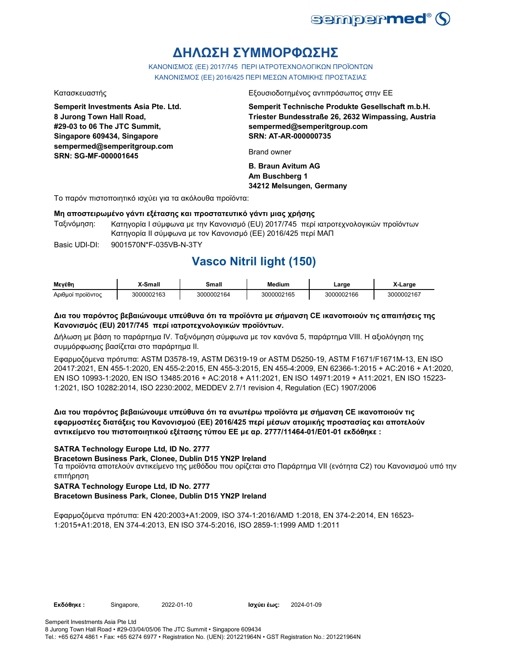

# **ΔΗΛΩΣΗ ΣΥΜΜΟΡΦΩΣΗΣ**

ΚΑΝΟΝΙΣΜΟΣ (EE) 2017/745 ΠΕΡΙ ΙΑΤΡΟΤΕΧΝΟΛΟΓΙΚΩΝ ΠΡΟΪΟΝΤΩΝ ΚΑΝΟΝΙΣΜΟΣ (ΕΕ) 2016/425 ΠΕΡΙ ΜΕΣΩΝ ΑΤΟΜΙΚΗΣ ΠΡΟΣΤΑΣΙΑΣ

**Semperit Investments Asia Pte. Ltd. 8 Jurong Town Hall Road, #29-03 to 06 The JTC Summit, Singapore 609434, Singapore sempermed@semperitgroup.com SRN: SG-MF-000001645**

Κατασκευαστής Εξουσιοδοτημένος αντιπρόσωπος στην ΕΕ

**Semperit Technische Produkte Gesellschaft m.b.H. Triester Bundesstraße 26, 2632 Wimpassing, Austria sempermed@semperitgroup.com SRN: AT-AR-000000735**

Brand owner

**B. Braun Avitum AG Am Buschberg 1 34212 Melsungen, Germany**

Το παρόν πιστοποιητικό ισχύει για τα ακόλουθα προϊόντα:

### **Μη αποστειρωμένο γάντι εξέτασης και προστατευτικό γάντι μιας χρήσης**

Ταξινόμηση: Κατηγορία I σύμφωνα με την Κανονισμό (EU) 2017/745 περί ιατροτεχνολογικών προϊόντων Κατηγορία II σύμφωνα με τον Κανονισμό (ΕΕ) 2016/425 περί ΜΑΠ

Basic UDI-DI: 9001570N\*F-035VB-N-3TY

## **Vasco Nitril light (150)**

| Μενέθη            | .-Small    | Small      | Medium     | _arge      | X-Larɑe    |
|-------------------|------------|------------|------------|------------|------------|
| Αριθμοί προϊόντος | 3000002163 | 3000002164 | 3000002165 | 3000002166 | 3000002167 |

### **Δια του παρόντος βεβαιώνουμε υπεύθυνα ότι τα προϊόντα με σήμανση CE ικανοποιούν τις απαιτήσεις της Κανονισμός (EU) 2017/745 περί ιατροτεχνολογικών προϊόντων.**

Δήλωση με βάση το παράρτημα IV. Ταξινόμηση σύμφωνα με τον κανόνα 5, παράρτημα VIII. Η αξιολόγηση της συμμόρφωσης βασίζεται στο παράρτημα II.

Εφαρμοζόμενα πρότυπα: ASTM D3578-19, ASTM D6319-19 or ASTM D5250-19, ASTM F1671/F1671M-13, EN ISO 20417:2021, EN 455-1:2020, EN 455-2:2015, EN 455-3:2015, EN 455-4:2009, EN 62366-1:2015 + AC:2016 + A1:2020, EN ISO 10993-1:2020, EN ISO 13485:2016 + AC:2018 + A11:2021, EN ISO 14971:2019 + A11:2021, EN ISO 15223- 1:2021, ISO 10282:2014, ISO 2230:2002, MEDDEV 2.7/1 revision 4, Regulation (EC) 1907/2006

### **Δια του παρόντος βεβαιώνουμε υπεύθυνα ότι τα ανωτέρω προϊόντα με σήμανση CE ικανοποιούν τις εφαρμοστέες διατάξεις του Κανονισμού (ΕΕ) 2016/425 περί μέσων ατομικής προστασίας και αποτελούν αντικείμενο του πιστοποιητικού εξέτασης τύπου ΕΕ με αρ. 2777/11464-01/E01-01 εκδόθηκε :**

### **SATRA Technology Europe Ltd, ID No. 2777**

**Bracetown Business Park, Clonee, Dublin D15 YN2P Ireland**

Τα προϊόντα αποτελούν αντικείμενο της μεθόδου που ορίζεται στο Παράρτημα VII (ενότητα C2) του Κανονισμού υπό την επιτήρηση

### **SATRA Technology Europe Ltd, ID No. 2777**

**Bracetown Business Park, Clonee, Dublin D15 YN2P Ireland**

Εφαρμοζόμενα πρότυπα: EN 420:2003+A1:2009, ISO 374-1:2016/AMD 1:2018, EN 374-2:2014, EN 16523- 1:2015+A1:2018, EN 374-4:2013, EN ISO 374-5:2016, ISO 2859-1:1999 AMD 1:2011

**Εκδόθηκε :** Singapore, 2022-01-10 **Ισχύει έως:** 2024-01-09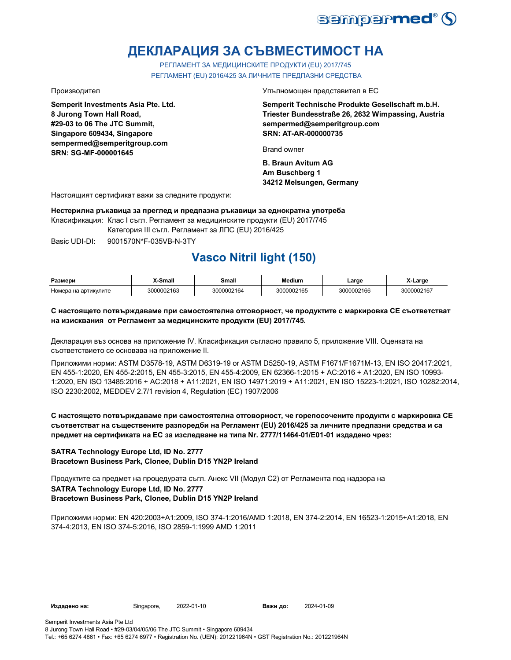

# **ДЕКЛАРАЦИЯ ЗА СЪВМЕСТИМОСТ НА**

РЕГЛАМЕНТ ЗА МЕДИЦИНСКИТЕ ПРОДУКТИ (EU) 2017/745 РЕГЛАМЕНТ (EU) 2016/425 ЗА ЛИЧНИТЕ ПРЕДПАЗНИ СРЕДСТВА

**Semperit Investments Asia Pte. Ltd. 8 Jurong Town Hall Road, #29-03 to 06 The JTC Summit, Singapore 609434, Singapore sempermed@semperitgroup.com SRN: SG-MF-000001645**

Производител Упълномощен представител в ЕС

**Semperit Technische Produkte Gesellschaft m.b.H. Triester Bundesstraße 26, 2632 Wimpassing, Austria sempermed@semperitgroup.com SRN: AT-AR-000000735**

Brand owner

**B. Braun Avitum AG Am Buschberg 1 34212 Melsungen, Germany**

Настоящият сертификат важи за следните продукти:

**Нестерилна ръкавица за преглед и предпазна ръкавици за еднократна употреба**

Класификация: Клас I съгл. Регламент за медицинските продукти (EU) 2017/745

Категория III съгл. Регламент за ЛПС (EU) 2016/425

Basic UDI-DI: 9001570N\*F-035VB-N-3TY 9001570N\*F-035VB-N-

# **Vasco Nitril light (150)**

| Размери              | Small-     | Small      | Medium     | ∟arge      | $\cdots$<br>X-Large |
|----------------------|------------|------------|------------|------------|---------------------|
| Номера на артикулите | 3000002163 | 3000002164 | 3000002165 | 3000002166 | 3000002167          |

### **С настоящето потвърждаваме при самостоятелна отговорност, че продуктите с маркировка СЕ съответстват на изисквания от Регламент за медицинските продукти (EU) 2017/745.**

Декларация въз основа на приложение IV. Класификация съгласно правило 5, приложение VIII. Оценката на съответствието се основава на приложение II.

Приложими норми: ASTM D3578-19, ASTM D6319-19 or ASTM D5250-19, ASTM F1671/F1671M-13, EN ISO 20417:2021, EN 455-1:2020, EN 455-2:2015, EN 455-3:2015, EN 455-4:2009, EN 62366-1:2015 + AC:2016 + A1:2020, EN ISO 10993- 1:2020, EN ISO 13485:2016 + AC:2018 + A11:2021, EN ISO 14971:2019 + A11:2021, EN ISO 15223-1:2021, ISO 10282:2014, ISO 2230:2002, MEDDEV 2.7/1 revision 4, Regulation (EC) 1907/2006

### **С настоящето потвърждаваме при самостоятелна отговорност, че горепосочените продукти с маркировка СЕ съответстват на съществените разпоредби на Регламент (EU) 2016/425 за личните предпазни средства и са предмет на сертификата на ЕС за изследване на типа Nr. 2777/11464-01/E01-01 издадено чрез:**

### **SATRA Technology Europe Ltd, ID No. 2777 Bracetown Business Park, Clonee, Dublin D15 YN2P Ireland**

**SATRA Technology Europe Ltd, ID No. 2777 Bracetown Business Park, Clonee, Dublin D15 YN2P Ireland** Продуктите са предмет на процедурата съгл. Анекс VII (Модул С2) от Регламента под надзора на

Приложими норми: EN 420:2003+A1:2009, ISO 374-1:2016/AMD 1:2018, EN 374-2:2014, EN 16523-1:2015+A1:2018, EN 374-4:2013, EN ISO 374-5:2016, ISO 2859-1:1999 AMD 1:2011

**Издадено на:** Singapore, 2022-01-10 **Важи до:** 2024-01-09